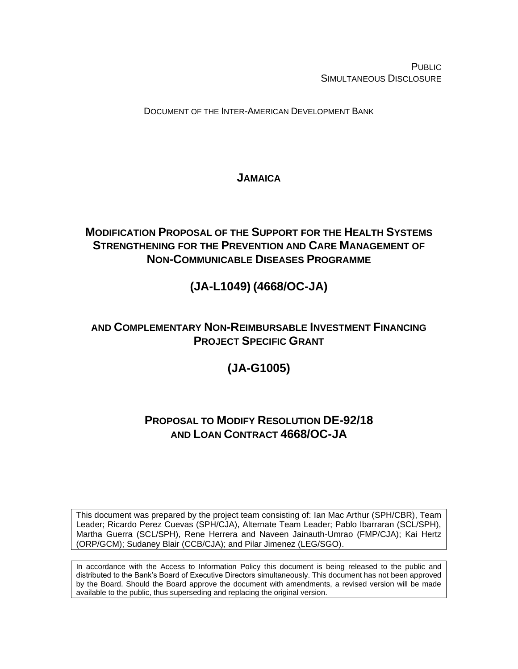**PUBLIC** SIMULTANEOUS DISCLOSURE

DOCUMENT OF THE INTER-AMERICAN DEVELOPMENT BANK

## **JAMAICA**

## **MODIFICATION PROPOSAL OF THE SUPPORT FOR THE HEALTH SYSTEMS STRENGTHENING FOR THE PREVENTION AND CARE MANAGEMENT OF NON-COMMUNICABLE DISEASES PROGRAMME**

# **(JA-L1049) (4668/OC-JA)**

## **AND COMPLEMENTARY NON-REIMBURSABLE INVESTMENT FINANCING PROJECT SPECIFIC GRANT**

# **(JA-G1005)**

## **PROPOSAL TO MODIFY RESOLUTION DE-92/18 AND LOAN CONTRACT 4668/OC-JA**

This document was prepared by the project team consisting of: Ian Mac Arthur (SPH/CBR), Team Leader; Ricardo Perez Cuevas (SPH/CJA), Alternate Team Leader; Pablo Ibarraran (SCL/SPH), Martha Guerra (SCL/SPH), Rene Herrera and Naveen Jainauth-Umrao (FMP/CJA); Kai Hertz (ORP/GCM); Sudaney Blair (CCB/CJA); and Pilar Jimenez (LEG/SGO).

In accordance with the Access to Information Policy this document is being released to the public and distributed to the Bank's Board of Executive Directors simultaneously. This document has not been approved by the Board. Should the Board approve the document with amendments, a revised version will be made available to the public, thus superseding and replacing the original version.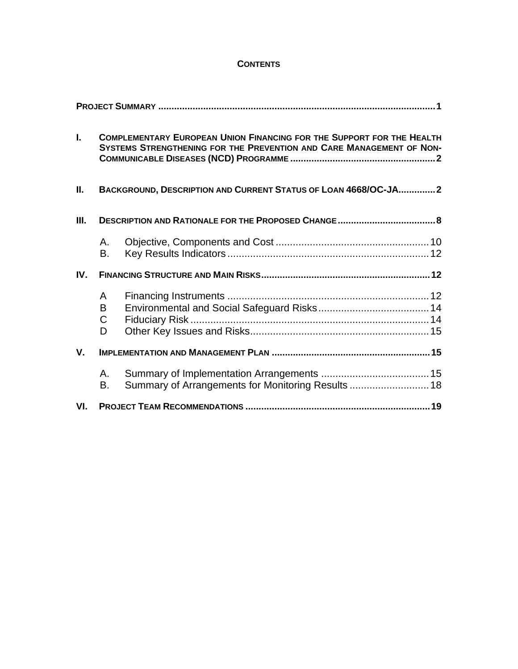#### **CONTENTS**

| $\mathbf{L}$ |                            | <b>COMPLEMENTARY EUROPEAN UNION FINANCING FOR THE SUPPORT FOR THE HEALTH</b><br>SYSTEMS STRENGTHENING FOR THE PREVENTION AND CARE MANAGEMENT OF NON- |  |
|--------------|----------------------------|------------------------------------------------------------------------------------------------------------------------------------------------------|--|
| П.           |                            | BACKGROUND, DESCRIPTION AND CURRENT STATUS OF LOAN 4668/OC-JA2                                                                                       |  |
| III.         |                            |                                                                                                                                                      |  |
|              | А.<br>В.                   |                                                                                                                                                      |  |
| IV.          |                            |                                                                                                                                                      |  |
|              | A<br>B<br>$\mathsf C$<br>D |                                                                                                                                                      |  |
| $V_{\cdot}$  |                            |                                                                                                                                                      |  |
|              | А.<br>В.                   | Summary of Arrangements for Monitoring Results 18                                                                                                    |  |
| VI.          |                            |                                                                                                                                                      |  |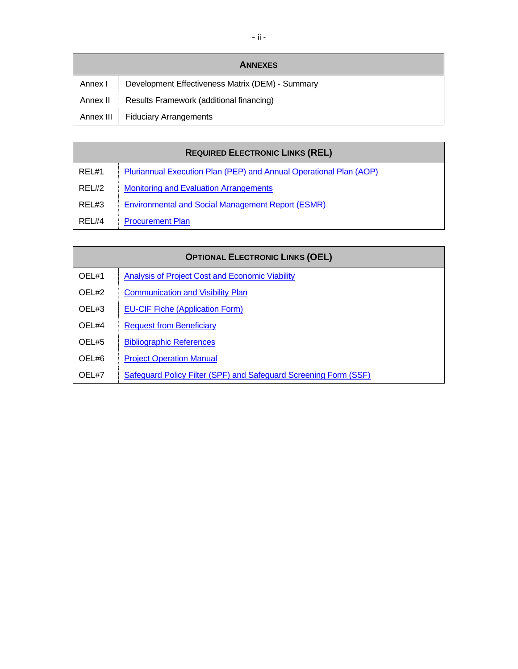|           | <b>ANNEXES</b>                                   |
|-----------|--------------------------------------------------|
| Annex I   | Development Effectiveness Matrix (DEM) - Summary |
| Annex II  | Results Framework (additional financing)         |
| Annex III | <b>Fiduciary Arrangements</b>                    |

|       | <b>REQUIRED ELECTRONIC LINKS (REL)</b>                             |
|-------|--------------------------------------------------------------------|
| REL#1 | Pluriannual Execution Plan (PEP) and Annual Operational Plan (AOP) |
| REL#2 | <b>Monitoring and Evaluation Arrangements</b>                      |
| REL#3 | <b>Environmental and Social Management Report (ESMR)</b>           |
| REL#4 | <b>Procurement Plan</b>                                            |

| <b>OPTIONAL ELECTRONIC LINKS (OEL)</b> |                                                                  |  |  |  |
|----------------------------------------|------------------------------------------------------------------|--|--|--|
| OEL#1                                  | Analysis of Project Cost and Economic Viability                  |  |  |  |
| OEL#2                                  | <b>Communication and Visibility Plan</b>                         |  |  |  |
| OEL#3                                  | <b>EU-CIF Fiche (Application Form)</b>                           |  |  |  |
| OEL#4                                  | <b>Request from Beneficiary</b>                                  |  |  |  |
| OEL#5                                  | <b>Bibliographic References</b>                                  |  |  |  |
| OEL#6                                  | <b>Project Operation Manual</b>                                  |  |  |  |
| OEL#7                                  | Safeguard Policy Filter (SPF) and Safeguard Screening Form (SSF) |  |  |  |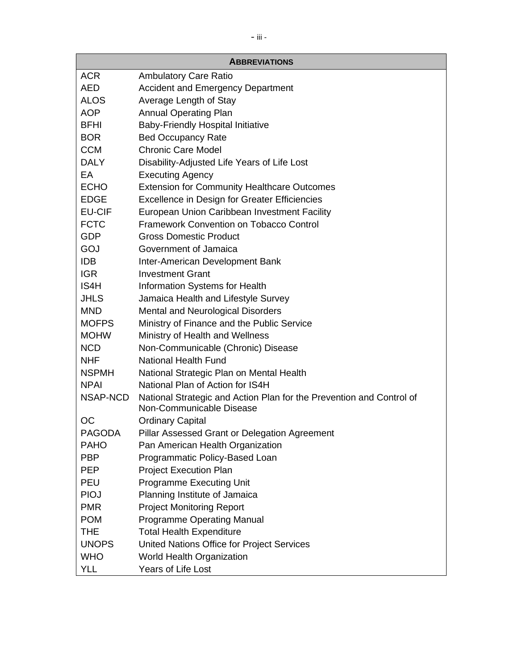|               | <b>ABBREVIATIONS</b>                                                                             |
|---------------|--------------------------------------------------------------------------------------------------|
| <b>ACR</b>    | <b>Ambulatory Care Ratio</b>                                                                     |
| <b>AED</b>    | <b>Accident and Emergency Department</b>                                                         |
| <b>ALOS</b>   | Average Length of Stay                                                                           |
| <b>AOP</b>    | <b>Annual Operating Plan</b>                                                                     |
| <b>BFHI</b>   | <b>Baby-Friendly Hospital Initiative</b>                                                         |
| <b>BOR</b>    | <b>Bed Occupancy Rate</b>                                                                        |
| <b>CCM</b>    | <b>Chronic Care Model</b>                                                                        |
| <b>DALY</b>   | Disability-Adjusted Life Years of Life Lost                                                      |
| EA            | <b>Executing Agency</b>                                                                          |
| <b>ECHO</b>   | <b>Extension for Community Healthcare Outcomes</b>                                               |
| <b>EDGE</b>   | <b>Excellence in Design for Greater Efficiencies</b>                                             |
| <b>EU-CIF</b> | European Union Caribbean Investment Facility                                                     |
| <b>FCTC</b>   | Framework Convention on Tobacco Control                                                          |
| <b>GDP</b>    | <b>Gross Domestic Product</b>                                                                    |
| GOJ           | Government of Jamaica                                                                            |
| <b>IDB</b>    | Inter-American Development Bank                                                                  |
| <b>IGR</b>    | <b>Investment Grant</b>                                                                          |
| IS4H          | Information Systems for Health                                                                   |
| <b>JHLS</b>   | Jamaica Health and Lifestyle Survey                                                              |
| <b>MND</b>    | <b>Mental and Neurological Disorders</b>                                                         |
| <b>MOFPS</b>  | Ministry of Finance and the Public Service                                                       |
| <b>MOHW</b>   | Ministry of Health and Wellness                                                                  |
| <b>NCD</b>    | Non-Communicable (Chronic) Disease                                                               |
| <b>NHF</b>    | <b>National Health Fund</b>                                                                      |
| <b>NSPMH</b>  | National Strategic Plan on Mental Health                                                         |
| <b>NPAI</b>   | National Plan of Action for IS4H                                                                 |
| NSAP-NCD      | National Strategic and Action Plan for the Prevention and Control of<br>Non-Communicable Disease |
| ОC            | <b>Ordinary Capital</b>                                                                          |
| <b>PAGODA</b> | Pillar Assessed Grant or Delegation Agreement                                                    |
| <b>PAHO</b>   | Pan American Health Organization                                                                 |
| <b>PBP</b>    | Programmatic Policy-Based Loan                                                                   |
| <b>PEP</b>    | <b>Project Execution Plan</b>                                                                    |
| <b>PEU</b>    | <b>Programme Executing Unit</b>                                                                  |
| <b>PIOJ</b>   | Planning Institute of Jamaica                                                                    |
| <b>PMR</b>    | <b>Project Monitoring Report</b>                                                                 |
| <b>POM</b>    | <b>Programme Operating Manual</b>                                                                |
| <b>THE</b>    | <b>Total Health Expenditure</b>                                                                  |
| <b>UNOPS</b>  | United Nations Office for Project Services                                                       |
| <b>WHO</b>    | World Health Organization                                                                        |
| YLL           | Years of Life Lost                                                                               |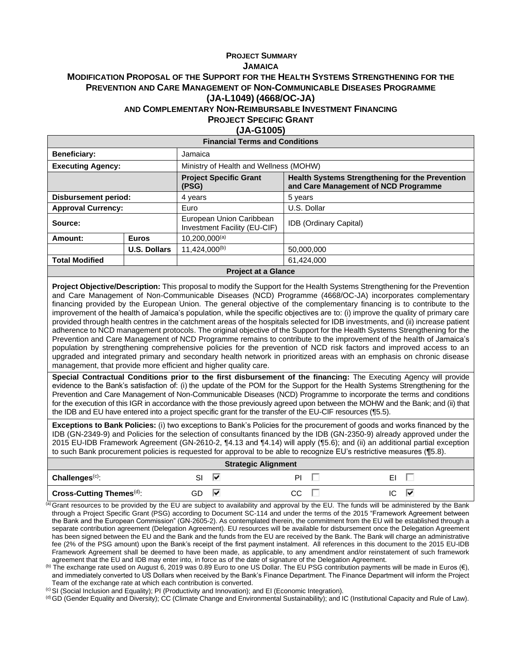#### **PROJECT SUMMARY JAMAICA MODIFICATION PROPOSAL OF THE SUPPORT FOR THE HEALTH SYSTEMS STRENGTHENING FOR THE PREVENTION AND CARE MANAGEMENT OF NON-COMMUNICABLE DISEASES PROGRAMME (JA-L1049) (4668/OC-JA) AND COMPLEMENTARY NON-REIMBURSABLE INVESTMENT FINANCING PROJECT SPECIFIC GRANT**

#### **(JA-G1005)**

| <b>Financial Terms and Conditions</b> |                            |                                                          |                                                                                                |  |  |
|---------------------------------------|----------------------------|----------------------------------------------------------|------------------------------------------------------------------------------------------------|--|--|
| <b>Beneficiary:</b>                   |                            | Jamaica                                                  |                                                                                                |  |  |
| <b>Executing Agency:</b>              |                            | Ministry of Health and Wellness (MOHW)                   |                                                                                                |  |  |
|                                       |                            | <b>Project Specific Grant</b><br>(PSG)                   | <b>Health Systems Strengthening for the Prevention</b><br>and Care Management of NCD Programme |  |  |
| <b>Disbursement period:</b>           |                            | 4 years                                                  | 5 years                                                                                        |  |  |
| <b>Approval Currency:</b>             |                            | Euro                                                     | U.S. Dollar                                                                                    |  |  |
| Source:                               |                            | European Union Caribbean<br>Investment Facility (EU-CIF) | <b>IDB</b> (Ordinary Capital)                                                                  |  |  |
| Amount:                               | <b>Euros</b>               | $10,200,000^{(a)}$                                       |                                                                                                |  |  |
|                                       | <b>U.S. Dollars</b>        | 11,424,000 <sup>(b)</sup>                                | 50.000.000                                                                                     |  |  |
| <b>Total Modified</b>                 |                            | 61.424.000                                               |                                                                                                |  |  |
|                                       | <b>Project at a Glance</b> |                                                          |                                                                                                |  |  |

**Project Objective/Description:** This proposal to modify the Support for the Health Systems Strengthening for the Prevention and Care Management of Non-Communicable Diseases (NCD) Programme (4668/OC-JA) incorporates complementary financing provided by the European Union. The general objective of the complementary financing is to contribute to the improvement of the health of Jamaica's population, while the specific objectives are to: (i) improve the quality of primary care provided through health centres in the catchment areas of the hospitals selected for IDB investments, and (ii) increase patient adherence to NCD management protocols. The original objective of the Support for the Health Systems Strengthening for the Prevention and Care Management of NCD Programme remains to contribute to the improvement of the health of Jamaica's population by strengthening comprehensive policies for the prevention of NCD risk factors and improved access to an upgraded and integrated primary and secondary health network in prioritized areas with an emphasis on chronic disease management, that provide more efficient and higher quality care.

**Special Contractual Conditions prior to the first disbursement of the financing:** The Executing Agency will provide evidence to the Bank's satisfaction of: (i) the update of the POM for the Support for the Health Systems Strengthening for the Prevention and Care Management of Non-Communicable Diseases (NCD) Programme to incorporate the terms and conditions for the execution of this IGR in accordance with the those previously agreed upon between the MOHW and the Bank; and (ii) that the IDB and EU have entered into a project specific grant for the transfer of the EU-CIF resources (¶5.5).

**Exceptions to Bank Policies:** (i) two exceptions to Bank's Policies for the procurement of goods and works financed by the IDB (GN-2349-9) and Policies for the selection of consultants financed by the IDB (GN-2350-9) already approved under the 2015 EU-IDB Framework Agreement (GN-2610-2, ¶4.13 and ¶4.14) will apply (¶5.6); and (ii) an additional partial exception to such Bank procurement policies is requested for approval to be able to recognize EU's restrictive measures (¶5.8).

| <b>Strategic Alignment</b>             |    |   |    |   |  |
|----------------------------------------|----|---|----|---|--|
| $\blacksquare$ Challenges $\lozenge$ : | וכ | ₩ | PI |   |  |
| Cross-Cutting Themes <sup>(d)</sup> :  | GD | ₩ | CС | ⊮ |  |

(a) Grant resources to be provided by the EU are subject to availability and approval by the EU. The funds will be administered by the Bank through a Project Specific Grant (PSG) according to Document SC-114 and under the terms of the 2015 "Framework Agreement between the Bank and the European Commission" (GN-2605-2). As contemplated therein, the commitment from the EU will be established through a separate contribution agreement (Delegation Agreement). EU resources will be available for disbursement once the Delegation Agreement has been signed between the EU and the Bank and the funds from the EU are received by the Bank. The Bank will charge an administrative fee (2% of the PSG amount) upon the Bank's receipt of the first payment instalment. All references in this document to the 2015 EU-IDB Framework Agreement shall be deemed to have been made, as applicable, to any amendment and/or reinstatement of such framework agreement that the EU and IDB may enter into, in force as of the date of signature of the Delegation Agreement.

(b) The exchange rate used on August 6, 2019 was 0.89 Euro to one US Dollar. The EU PSG contribution payments will be made in Euros  $(\epsilon)$ , and immediately converted to US Dollars when received by the Bank's Finance Department. The Finance Department will inform the Project Team of the exchange rate at which each contribution is converted.

(c)SI (Social Inclusion and Equality); PI (Productivity and Innovation); and EI (Economic Integration).

(d)GD (Gender Equality and Diversity); CC (Climate Change and Environmental Sustainability); and IC (Institutional Capacity and Rule of Law).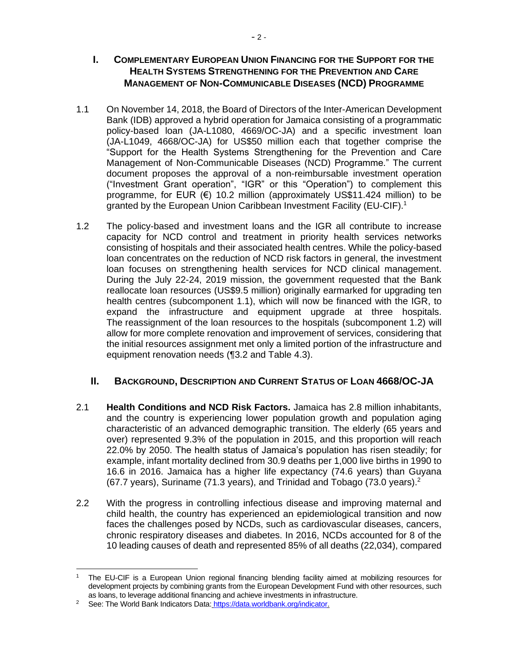#### **I.** COMPLEMENTARY EUROPEAN UNION FINANCING FOR THE SUPPORT FOR THE **HEALTH SYSTEMS STRENGTHENING FOR THE PREVENTION AND CARE MANAGEMENT OF NON-COMMUNICABLE DISEASES (NCD) PROGRAMME**

- 1.1 On November 14, 2018, the Board of Directors of the Inter-American Development Bank (IDB) approved a hybrid operation for Jamaica consisting of a programmatic policy-based loan (JA-L1080, 4669/OC-JA) and a specific investment loan (JA-L1049, 4668/OC-JA) for US\$50 million each that together comprise the "Support for the Health Systems Strengthening for the Prevention and Care Management of Non-Communicable Diseases (NCD) Programme." The current document proposes the approval of a non-reimbursable investment operation ("Investment Grant operation", "IGR" or this "Operation") to complement this programme, for EUR  $(€)$  10.2 million (approximately US\$11.424 million) to be granted by the European Union Caribbean Investment Facility (EU-CIF).<sup>1</sup>
- 1.2 The policy-based and investment loans and the IGR all contribute to increase capacity for NCD control and treatment in priority health services networks consisting of hospitals and their associated health centres. While the policy-based loan concentrates on the reduction of NCD risk factors in general, the investment loan focuses on strengthening health services for NCD clinical management. During the July 22-24, 2019 mission, the government requested that the Bank reallocate loan resources (US\$9.5 million) originally earmarked for upgrading ten health centres (subcomponent 1.1), which will now be financed with the IGR, to expand the infrastructure and equipment upgrade at three hospitals. The reassignment of the loan resources to the hospitals (subcomponent 1.2) will allow for more complete renovation and improvement of services, considering that the initial resources assignment met only a limited portion of the infrastructure and equipment renovation needs (¶3.2 and Table 4.3).

### **II. BACKGROUND, DESCRIPTION AND CURRENT STATUS OF LOAN 4668/OC-JA**

- 2.1 **Health Conditions and NCD Risk Factors.** Jamaica has 2.8 million inhabitants, and the country is experiencing lower population growth and population aging characteristic of an advanced demographic transition. The elderly (65 years and over) represented 9.3% of the population in 2015, and this proportion will reach 22.0% by 2050. The health status of Jamaica's population has risen steadily; for example, infant mortality declined from 30.9 deaths per 1,000 live births in 1990 to 16.6 in 2016. Jamaica has a higher life expectancy (74.6 years) than Guyana (67.7 years), Suriname (71.3 years), and Trinidad and Tobago (73.0 years).<sup>2</sup>
- 2.2 With the progress in controlling infectious disease and improving maternal and child health, the country has experienced an epidemiological transition and now faces the challenges posed by NCDs, such as cardiovascular diseases, cancers, chronic respiratory diseases and diabetes. In 2016, NCDs accounted for 8 of the 10 leading causes of death and represented 85% of all deaths (22,034), compared

<sup>1</sup> The EU-CIF is a European Union regional financing blending facility aimed at mobilizing resources for development projects by combining grants from the European Development Fund with other resources, such as loans, to leverage additional financing and achieve investments in infrastructure.

<sup>&</sup>lt;sup>2</sup> See: The World Bank Indicators Data: [https://data.worldbank.org/indicator.](https://data.worldbank.org/indicator)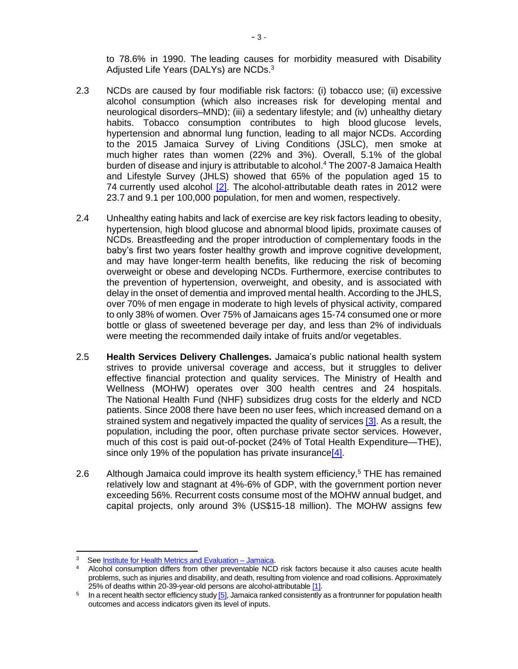to 78.6% in 1990. The leading causes for morbidity measured with Disability Adjusted Life Years (DALYs) are NCDs.<sup>3</sup>

- 2.3 NCDs are caused by four modifiable risk factors: (i) tobacco use; (ii) excessive alcohol consumption (which also increases risk for developing mental and neurological disorders–MND); (iii) a sedentary lifestyle; and (iv) unhealthy dietary habits. Tobacco consumption contributes to high blood glucose levels, hypertension and abnormal lung function, leading to all major NCDs. According to the 2015 Jamaica Survey of Living Conditions (JSLC), men smoke at much higher rates than women (22% and 3%). Overall, 5.1% of the global burden of disease and injury is attributable to alcohol.<sup>4</sup> The 2007-8 Jamaica Health and Lifestyle Survey (JHLS) showed that 65% of the population aged 15 to 74 currently used alcohol  $[2]$ . The alcohol-attributable death rates in 2012 were 23.7 and 9.1 per 100,000 population, for men and women, respectively.
- 2.4 Unhealthy eating habits and lack of exercise are key risk factors leading to obesity, hypertension, high blood glucose and abnormal blood lipids, proximate causes of NCDs. Breastfeeding and the proper introduction of complementary foods in the baby's first two years foster healthy growth and improve cognitive development, and may have longer-term health benefits, like reducing the risk of becoming overweight or obese and developing NCDs. Furthermore, exercise contributes to the prevention of hypertension, overweight, and obesity, and is associated with delay in the onset of dementia and improved mental health. According to the JHLS, over 70% of men engage in moderate to high levels of physical activity, compared to only 38% of women. Over 75% of Jamaicans ages 15-74 consumed one or more bottle or glass of sweetened beverage per day, and less than 2% of individuals were meeting the recommended daily intake of fruits and/or vegetables.
- 2.5 **Health Services Delivery Challenges.** Jamaica's public national health system strives to provide universal coverage and access, but it struggles to deliver effective financial protection and quality services. The Ministry of Health and Wellness (MOHW) operates over 300 health centres and 24 hospitals. The National Health Fund (NHF) subsidizes drug costs for the elderly and NCD patients. Since 2008 there have been no user fees, which increased demand on a strained system and negatively impacted the quality of services [\[3\].](http://idbdocs.iadb.org/wsdocs/getDocument.aspx?DOCNUM=EZSHARE-404563548-6) As a result, the population, including the poor, often purchase private sector services. However, much of this cost is paid out-of-pocket (24% of Total Health Expenditure—THE), since only 19% of the population has private insurance  $[4]$ .
- 2.6 Although Jamaica could improve its health system efficiency,<sup>5</sup> THE has remained relatively low and stagnant at 4%-6% of GDP, with the government portion never exceeding 56%. Recurrent costs consume most of the MOHW annual budget, and capital projects, only around 3% (US\$15-18 million). The MOHW assigns few

 $3$  Se[e Institute for Health Metrics and Evaluation –](http://www.healthdata.org/jamaica) Jamaica.

<sup>4</sup> Alcohol consumption differs from other preventable NCD risk factors because it also causes acute health problems, such as injuries and disability, and death, resulting from violence and road collisions. Approximately 25% of deaths within 20-39-year-old persons are alcohol-attributabl[e \[1\].](http://idbdocs.iadb.org/wsdocs/getDocument.aspx?DOCNUM=EZSHARE-404563548-6)

<sup>&</sup>lt;sup>5</sup> In a recent health sector efficiency stud[y \[5\],](http://idbdocs.iadb.org/wsdocs/getDocument.aspx?DOCNUM=EZSHARE-404563548-6) Jamaica ranked consistently as a frontrunner for population health outcomes and access indicators given its level of inputs.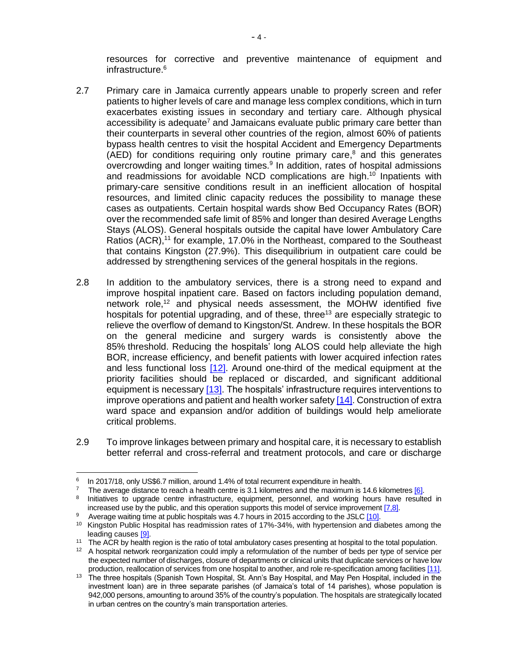resources for corrective and preventive maintenance of equipment and infrastructure. 6

- 2.7 Primary care in Jamaica currently appears unable to properly screen and refer patients to higher levels of care and manage less complex conditions, which in turn exacerbates existing issues in secondary and tertiary care. Although physical accessibility is adequate<sup>7</sup> and Jamaicans evaluate public primary care better than their counterparts in several other countries of the region, almost 60% of patients bypass health centres to visit the hospital Accident and Emergency Departments (AED) for conditions requiring only routine primary care, <sup>8</sup> and this generates overcrowding and longer waiting times.<sup>9</sup> In addition, rates of hospital admissions and readmissions for avoidable NCD complications are high. <sup>10</sup> Inpatients with primary-care sensitive conditions result in an inefficient allocation of hospital resources, and limited clinic capacity reduces the possibility to manage these cases as outpatients. Certain hospital wards show Bed Occupancy Rates (BOR) over the recommended safe limit of 85% and longer than desired Average Lengths Stays (ALOS). General hospitals outside the capital have lower Ambulatory Care Ratios (ACR),<sup>11</sup> for example, 17.0% in the Northeast, compared to the Southeast that contains Kingston (27.9%). This disequilibrium in outpatient care could be addressed by strengthening services of the general hospitals in the regions.
- 2.8 In addition to the ambulatory services, there is a strong need to expand and improve hospital inpatient care. Based on factors including population demand, network role,<sup>12</sup> and physical needs assessment, the MOHW identified five hospitals for potential upgrading, and of these, three<sup>13</sup> are especially strategic to relieve the overflow of demand to Kingston/St. Andrew. In these hospitals the BOR on the general medicine and surgery wards is consistently above the 85% threshold. Reducing the hospitals' long ALOS could help alleviate the high BOR, increase efficiency, and benefit patients with lower acquired infection rates and less functional loss  $[12]$ . Around one-third of the medical equipment at the priority facilities should be replaced or discarded, and significant additional equipment is necessary [\[13\].](http://idbdocs.iadb.org/wsdocs/getDocument.aspx?DOCNUM=EZSHARE-404563548-6) The hospitals' infrastructure requires interventions to improve operations and patient and health worker safety [\[14\].](http://idbdocs.iadb.org/wsdocs/getDocument.aspx?DOCNUM=EZSHARE-404563548-6) Construction of extra ward space and expansion and/or addition of buildings would help ameliorate critical problems.
- 2.9 To improve linkages between primary and hospital care, it is necessary to establish better referral and cross-referral and treatment protocols, and care or discharge

<sup>6</sup> In 2017/18, only US\$6.7 million, around 1.4% of total recurrent expenditure in health.

<sup>&</sup>lt;sup>7</sup> The average distance to reach a health centre is 3.1 kilometres and the maximum is 14.6 kilometres  $[6]$ .

<sup>&</sup>lt;sup>8</sup> Initiatives to upgrade centre infrastructure, equipment, personnel, and working hours have resulted in increased use by the public, and this operation supports this model of service improvement [\[7,8\].](http://idbdocs.iadb.org/wsdocs/getDocument.aspx?DOCNUM=EZSHARE-404563548-6)

<sup>&</sup>lt;sup>9</sup> Average waiting time at public hospitals was 4.7 hours in 2015 according to the JSL[C \[10\].](http://idbdocs.iadb.org/wsdocs/getDocument.aspx?DOCNUM=EZSHARE-404563548-6)

<sup>10</sup> Kingston Public Hospital has readmission rates of 17%-34%, with hypertension and diabetes among the leading causes [\[9\].](http://idbdocs.iadb.org/wsdocs/getDocument.aspx?DOCNUM=EZSHARE-404563548-6)

<sup>&</sup>lt;sup>11</sup> The ACR by health region is the ratio of total ambulatory cases presenting at hospital to the total population.

<sup>&</sup>lt;sup>12</sup> A hospital network reorganization could imply a reformulation of the number of beds per type of service per the expected number of discharges, closure of departments or clinical units that duplicate services or have low production, reallocation of services from one hospital to another, and role re-specification among facilitie[s \[11\].](http://idbdocs.iadb.org/wsdocs/getDocument.aspx?DOCNUM=EZSHARE-404563548-6)

<sup>13</sup> The three hospitals (Spanish Town Hospital, St. Ann's Bay Hospital, and May Pen Hospital, included in the investment loan) are in three separate parishes (of Jamaica's total of 14 parishes), whose population is 942,000 persons, amounting to around 35% of the country's population. The hospitals are strategically located in urban centres on the country's main transportation arteries.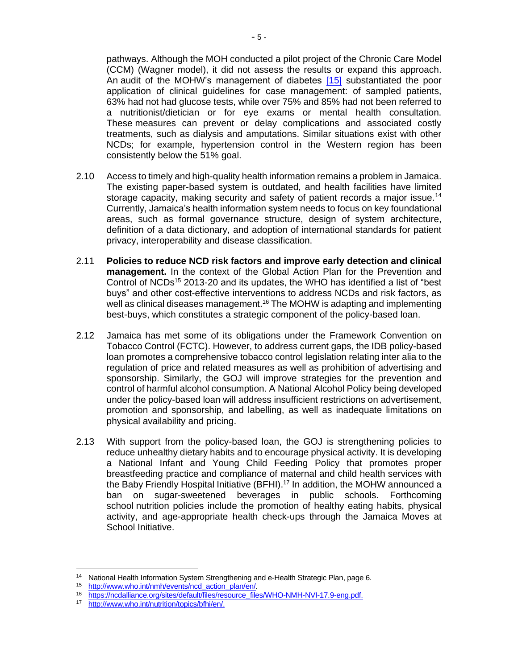pathways. Although the MOH conducted a pilot project of the Chronic Care Model (CCM) (Wagner model), it did not assess the results or expand this approach. An audit of the MOHW's management of diabetes [\[15\]](http://idbdocs.iadb.org/wsdocs/getDocument.aspx?DOCNUM=EZSHARE-404563548-6) substantiated the poor application of clinical guidelines for case management: of sampled patients, 63% had not had glucose tests, while over 75% and 85% had not been referred to a nutritionist/dietician or for eye exams or mental health consultation. These measures can prevent or delay complications and associated costly treatments, such as dialysis and amputations. Similar situations exist with other NCDs; for example, hypertension control in the Western region has been consistently below the 51% goal.

- 2.10 Access to timely and high-quality health information remains a problem in Jamaica. The existing paper-based system is outdated, and health facilities have limited storage capacity, making security and safety of patient records a major issue.<sup>14</sup> Currently, Jamaica's health information system needs to focus on key foundational areas, such as formal governance structure, design of system architecture, definition of a data dictionary, and adoption of international standards for patient privacy, interoperability and disease classification.
- 2.11 **Policies to reduce NCD risk factors and improve early detection and clinical management.** In the context of the Global Action Plan for the Prevention and Control of NCDs<sup>15</sup> 2013-20 and its updates, the WHO has identified a list of "best buys" and other cost-effective interventions to address NCDs and risk factors, as well as clinical diseases management.<sup>16</sup> The MOHW is adapting and implementing best-buys, which constitutes a strategic component of the policy-based loan.
- 2.12 Jamaica has met some of its obligations under the Framework Convention on Tobacco Control (FCTC). However, to address current gaps, the IDB policy-based loan promotes a comprehensive tobacco control legislation relating inter alia to the regulation of price and related measures as well as prohibition of advertising and sponsorship. Similarly, the GOJ will improve strategies for the prevention and control of harmful alcohol consumption. A National Alcohol Policy being developed under the policy-based loan will address insufficient restrictions on advertisement, promotion and sponsorship, and labelling, as well as inadequate limitations on physical availability and pricing.
- 2.13 With support from the policy-based loan, the GOJ is strengthening policies to reduce unhealthy dietary habits and to encourage physical activity. It is developing a National Infant and Young Child Feeding Policy that promotes proper breastfeeding practice and compliance of maternal and child health services with the Baby Friendly Hospital Initiative (BFHI). <sup>17</sup> In addition, the MOHW announced a ban on sugar-sweetened beverages in public schools. Forthcoming school nutrition policies include the promotion of healthy eating habits, physical activity, and age-appropriate health check-ups through the Jamaica Moves at School Initiative.

<sup>&</sup>lt;sup>14</sup> National Health Information System Strengthening and e-Health Strategic Plan, page 6.

<sup>15</sup> [http://www.who.int/nmh/events/ncd\\_action\\_plan/en/.](http://www.who.int/nmh/events/ncd_action_plan/en/)<br>16 https://podelliance.org/citor/default/files/recourse\_file

<sup>16</sup> [https://ncdalliance.org/sites/default/files/resource\\_files/WHO-NMH-NVI-17.9-eng.pdf.](https://ncdalliance.org/sites/default/files/resource_files/WHO-NMH-NVI-17.9-eng.pdf)

[http://www.who.int/nutrition/topics/bfhi/en/.](http://www.who.int/nutrition/topics/bfhi/en/)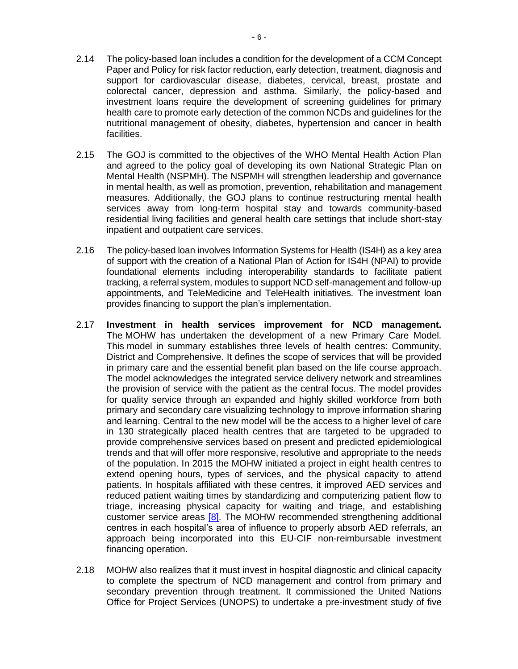- 2.14 The policy-based loan includes a condition for the development of a CCM Concept Paper and Policy for risk factor reduction, early detection, treatment, diagnosis and support for cardiovascular disease, diabetes, cervical, breast, prostate and colorectal cancer, depression and asthma. Similarly, the policy-based and investment loans require the development of screening guidelines for primary health care to promote early detection of the common NCDs and guidelines for the nutritional management of obesity, diabetes, hypertension and cancer in health facilities.
- 2.15 The GOJ is committed to the objectives of the WHO Mental Health Action Plan and agreed to the policy goal of developing its own National Strategic Plan on Mental Health (NSPMH). The NSPMH will strengthen leadership and governance in mental health, as well as promotion, prevention, rehabilitation and management measures. Additionally, the GOJ plans to continue restructuring mental health services away from long-term hospital stay and towards community-based residential living facilities and general health care settings that include short-stay inpatient and outpatient care services.
- 2.16 The policy-based loan involves Information Systems for Health (IS4H) as a key area of support with the creation of a National Plan of Action for IS4H (NPAI) to provide foundational elements including interoperability standards to facilitate patient tracking, a referral system, modules to support NCD self-management and follow-up appointments, and TeleMedicine and TeleHealth initiatives. The investment loan provides financing to support the plan's implementation.
- 2.17 **Investment in health services improvement for NCD management.** The MOHW has undertaken the development of a new Primary Care Model. This model in summary establishes three levels of health centres: Community, District and Comprehensive. It defines the scope of services that will be provided in primary care and the essential benefit plan based on the life course approach. The model acknowledges the integrated service delivery network and streamlines the provision of service with the patient as the central focus. The model provides for quality service through an expanded and highly skilled workforce from both primary and secondary care visualizing technology to improve information sharing and learning. Central to the new model will be the access to a higher level of care in 130 strategically placed health centres that are targeted to be upgraded to provide comprehensive services based on present and predicted epidemiological trends and that will offer more responsive, resolutive and appropriate to the needs of the population. In 2015 the MOHW initiated a project in eight health centres to extend opening hours, types of services, and the physical capacity to attend patients. In hospitals affiliated with these centres, it improved AED services and reduced patient waiting times by standardizing and computerizing patient flow to triage, increasing physical capacity for waiting and triage, and establishing customer service areas [\[8\].](http://idbdocs.iadb.org/wsdocs/getDocument.aspx?DOCNUM=EZSHARE-404563548-6) The MOHW recommended strengthening additional centres in each hospital's area of influence to properly absorb AED referrals, an approach being incorporated into this EU-CIF non-reimbursable investment financing operation.
- 2.18 MOHW also realizes that it must invest in hospital diagnostic and clinical capacity to complete the spectrum of NCD management and control from primary and secondary prevention through treatment. It commissioned the United Nations Office for Project Services (UNOPS) to undertake a pre-investment study of five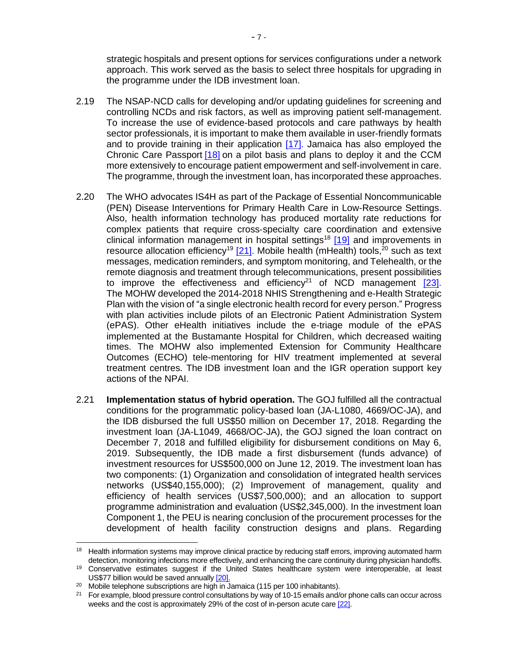strategic hospitals and present options for services configurations under a network approach. This work served as the basis to select three hospitals for upgrading in the programme under the IDB investment loan.

- 2.19 The NSAP-NCD calls for developing and/or updating guidelines for screening and controlling NCDs and risk factors, as well as improving patient self-management. To increase the use of evidence-based protocols and care pathways by health sector professionals, it is important to make them available in user-friendly formats and to provide training in their application [\[17\].](http://idbdocs.iadb.org/wsdocs/getDocument.aspx?DOCNUM=EZSHARE-404563548-6) Jamaica has also employed the Chronic Care Passport [\[18\]](http://idbdocs.iadb.org/wsdocs/getDocument.aspx?DOCNUM=EZSHARE-404563548-6) on a pilot basis and plans to deploy it and the CCM more extensively to encourage patient empowerment and self-involvement in care. The programme, through the investment loan, has incorporated these approaches.
- 2.20 The WHO advocates IS4H as part of the Package of Essential Noncommunicable (PEN) Disease Interventions for Primary Health Care in Low-Resource Settings. Also, health information technology has produced mortality rate reductions for complex patients that require cross‐specialty care coordination and extensive clinical information management in hospital settings<sup>18</sup> [\[19\]](http://idbdocs.iadb.org/wsdocs/getDocument.aspx?DOCNUM=EZSHARE-404563548-6) and improvements in resource allocation efficiency<sup>19</sup> [\[21\].](http://idbdocs.iadb.org/wsdocs/getDocument.aspx?DOCNUM=EZSHARE-404563548-6) Mobile health (mHealth) tools,<sup>20</sup> such as text messages, medication reminders, and symptom monitoring, and Telehealth, or the remote diagnosis and treatment through telecommunications, present possibilities to improve the effectiveness and efficiency<sup>21</sup> of NCD management  $[23]$ . The MOHW developed the 2014-2018 NHIS Strengthening and e-Health Strategic Plan with the vision of "a single electronic health record for every person." Progress with plan activities include pilots of an Electronic Patient Administration System (ePAS). Other eHealth initiatives include the e-triage module of the ePAS implemented at the Bustamante Hospital for Children, which decreased waiting times. The MOHW also implemented Extension for Community Healthcare Outcomes (ECHO) tele-mentoring for HIV treatment implemented at several treatment centres. The IDB investment loan and the IGR operation support key actions of the NPAI.
- 2.21 **Implementation status of hybrid operation.** The GOJ fulfilled all the contractual conditions for the programmatic policy-based loan (JA-L1080, 4669/OC-JA), and the IDB disbursed the full US\$50 million on December 17, 2018. Regarding the investment loan (JA-L1049, 4668/OC-JA), the GOJ signed the loan contract on December 7, 2018 and fulfilled eligibility for disbursement conditions on May 6, 2019. Subsequently, the IDB made a first disbursement (funds advance) of investment resources for US\$500,000 on June 12, 2019. The investment loan has two components: (1) Organization and consolidation of integrated health services networks (US\$40,155,000); (2) Improvement of management, quality and efficiency of health services (US\$7,500,000); and an allocation to support programme administration and evaluation (US\$2,345,000). In the investment loan Component 1, the PEU is nearing conclusion of the procurement processes for the development of health facility construction designs and plans. Regarding

<sup>&</sup>lt;sup>18</sup> Health information systems may improve clinical practice by reducing staff errors, improving automated harm detection, monitoring infections more effectively, and enhancing the care continuity during physician handoffs.

<sup>19</sup> Conservative estimates suggest if the United States healthcare system were interoperable, at least US\$77 billion would be saved annuall[y \[20\].](http://idbdocs.iadb.org/wsdocs/getDocument.aspx?DOCNUM=EZSHARE-404563548-6)

<sup>&</sup>lt;sup>20</sup> Mobile telephone subscriptions are high in Jamaica (115 per 100 inhabitants).

<sup>&</sup>lt;sup>21</sup> For example, blood pressure control consultations by way of 10-15 emails and/or phone calls can occur across weeks and the cost is approximately 29% of the cost of in-person acute car[e \[22\].](http://idbdocs.iadb.org/wsdocs/getDocument.aspx?DOCNUM=EZSHARE-404563548-6)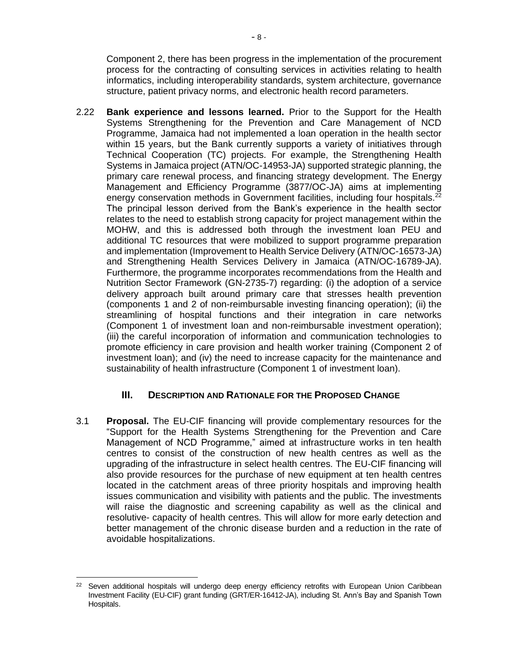Component 2, there has been progress in the implementation of the procurement process for the contracting of consulting services in activities relating to health informatics, including interoperability standards, system architecture, governance structure, patient privacy norms, and electronic health record parameters.

2.22 **Bank experience and lessons learned.** Prior to the Support for the Health Systems Strengthening for the Prevention and Care Management of NCD Programme, Jamaica had not implemented a loan operation in the health sector within 15 years, but the Bank currently supports a variety of initiatives through Technical Cooperation (TC) projects. For example, the Strengthening Health Systems in Jamaica project (ATN/OC-14953-JA) supported strategic planning, the primary care renewal process, and financing strategy development. The Energy Management and Efficiency Programme (3877/OC-JA) aims at implementing energy conservation methods in Government facilities, including four hospitals. $22$ The principal lesson derived from the Bank's experience in the health sector relates to the need to establish strong capacity for project management within the MOHW, and this is addressed both through the investment loan PEU and additional TC resources that were mobilized to support programme preparation and implementation (Improvement to Health Service Delivery (ATN/OC-16573-JA) and Strengthening Health Services Delivery in Jamaica (ATN/OC-16789-JA). Furthermore, the programme incorporates recommendations from the Health and Nutrition Sector Framework (GN-2735-7) regarding: (i) the adoption of a service delivery approach built around primary care that stresses health prevention (components 1 and 2 of non-reimbursable investing financing operation); (ii) the streamlining of hospital functions and their integration in care networks (Component 1 of investment loan and non-reimbursable investment operation); (iii) the careful incorporation of information and communication technologies to promote efficiency in care provision and health worker training (Component 2 of investment loan); and (iv) the need to increase capacity for the maintenance and sustainability of health infrastructure (Component 1 of investment loan).

### **III. DESCRIPTION AND RATIONALE FOR THE PROPOSED CHANGE**

3.1 **Proposal.** The EU-CIF financing will provide complementary resources for the "Support for the Health Systems Strengthening for the Prevention and Care Management of NCD Programme," aimed at infrastructure works in ten health centres to consist of the construction of new health centres as well as the upgrading of the infrastructure in select health centres. The EU-CIF financing will also provide resources for the purchase of new equipment at ten health centres located in the catchment areas of three priority hospitals and improving health issues communication and visibility with patients and the public. The investments will raise the diagnostic and screening capability as well as the clinical and resolutive- capacity of health centres. This will allow for more early detection and better management of the chronic disease burden and a reduction in the rate of avoidable hospitalizations.

<sup>&</sup>lt;sup>22</sup> Seven additional hospitals will undergo deep energy efficiency retrofits with European Union Caribbean Investment Facility (EU-CIF) grant funding (GRT/ER-16412-JA), including St. Ann's Bay and Spanish Town Hospitals.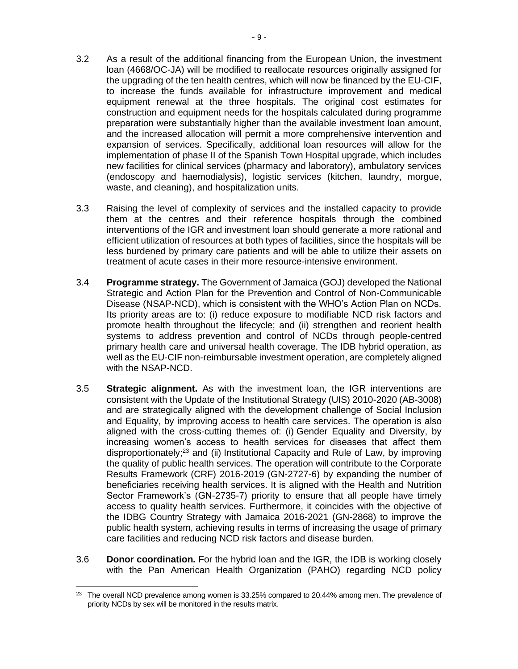- 3.2 As a result of the additional financing from the European Union, the investment loan (4668/OC-JA) will be modified to reallocate resources originally assigned for the upgrading of the ten health centres, which will now be financed by the EU-CIF, to increase the funds available for infrastructure improvement and medical equipment renewal at the three hospitals. The original cost estimates for construction and equipment needs for the hospitals calculated during programme preparation were substantially higher than the available investment loan amount, and the increased allocation will permit a more comprehensive intervention and expansion of services. Specifically, additional loan resources will allow for the implementation of phase II of the Spanish Town Hospital upgrade, which includes new facilities for clinical services (pharmacy and laboratory), ambulatory services (endoscopy and haemodialysis), logistic services (kitchen, laundry, morgue, waste, and cleaning), and hospitalization units.
- 3.3 Raising the level of complexity of services and the installed capacity to provide them at the centres and their reference hospitals through the combined interventions of the IGR and investment loan should generate a more rational and efficient utilization of resources at both types of facilities, since the hospitals will be less burdened by primary care patients and will be able to utilize their assets on treatment of acute cases in their more resource-intensive environment.
- 3.4 **Programme strategy.** The Government of Jamaica (GOJ) developed the National Strategic and Action Plan for the Prevention and Control of Non-Communicable Disease (NSAP-NCD), which is consistent with the WHO's Action Plan on NCDs. Its priority areas are to: (i) reduce exposure to modifiable NCD risk factors and promote health throughout the lifecycle; and (ii) strengthen and reorient health systems to address prevention and control of NCDs through people-centred primary health care and universal health coverage. The IDB hybrid operation, as well as the EU-CIF non-reimbursable investment operation, are completely aligned with the NSAP-NCD.
- 3.5 **Strategic alignment.** As with the investment loan, the IGR interventions are consistent with the Update of the Institutional Strategy (UIS) 2010-2020 (AB-3008) and are strategically aligned with the development challenge of Social Inclusion and Equality, by improving access to health care services. The operation is also aligned with the cross-cutting themes of: (i) Gender Equality and Diversity, by increasing women's access to health services for diseases that affect them disproportionately;<sup>23</sup> and (ii) Institutional Capacity and Rule of Law, by improving the quality of public health services. The operation will contribute to the Corporate Results Framework (CRF) 2016-2019 (GN-2727-6) by expanding the number of beneficiaries receiving health services. It is aligned with the Health and Nutrition Sector Framework's (GN-2735-7) priority to ensure that all people have timely access to quality health services. Furthermore, it coincides with the objective of the IDBG Country Strategy with Jamaica 2016-2021 (GN-2868) to improve the public health system, achieving results in terms of increasing the usage of primary care facilities and reducing NCD risk factors and disease burden.
- 3.6 **Donor coordination.** For the hybrid loan and the IGR, the IDB is working closely with the Pan American Health Organization (PAHO) regarding NCD policy

<sup>&</sup>lt;sup>23</sup> The overall NCD prevalence among women is 33.25% compared to 20.44% among men. The prevalence of priority NCDs by sex will be monitored in the results matrix.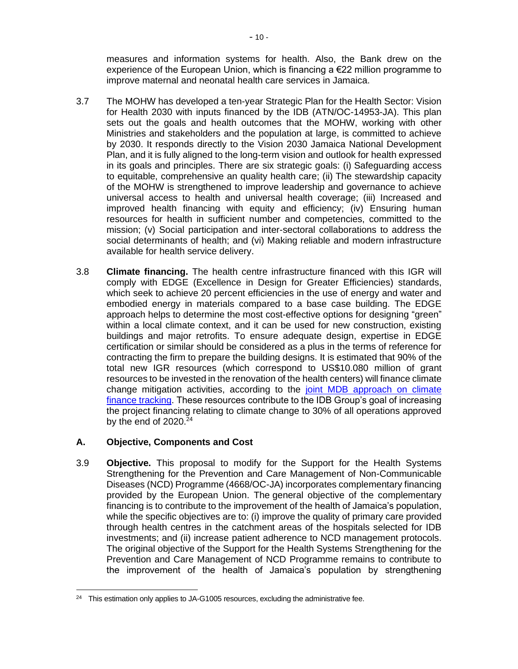measures and information systems for health. Also, the Bank drew on the experience of the European Union, which is financing a €22 million programme to improve maternal and neonatal health care services in Jamaica.

- 3.7 The MOHW has developed a ten-year Strategic Plan for the Health Sector: Vision for Health 2030 with inputs financed by the IDB (ATN/OC-14953-JA). This plan sets out the goals and health outcomes that the MOHW, working with other Ministries and stakeholders and the population at large, is committed to achieve by 2030. It responds directly to the Vision 2030 Jamaica National Development Plan, and it is fully aligned to the long-term vision and outlook for health expressed in its goals and principles. There are six strategic goals: (i) Safeguarding access to equitable, comprehensive an quality health care; (ii) The stewardship capacity of the MOHW is strengthened to improve leadership and governance to achieve universal access to health and universal health coverage; (iii) Increased and improved health financing with equity and efficiency; (iv) Ensuring human resources for health in sufficient number and competencies, committed to the mission; (v) Social participation and inter-sectoral collaborations to address the social determinants of health; and (vi) Making reliable and modern infrastructure available for health service delivery.
- 3.8 **Climate financing.** The health centre infrastructure financed with this IGR will comply with EDGE (Excellence in Design for Greater Efficiencies) standards, which seek to achieve 20 percent efficiencies in the use of energy and water and embodied energy in materials compared to a base case building. The EDGE approach helps to determine the most cost-effective options for designing "green" within a local climate context, and it can be used for new construction, existing buildings and major retrofits. To ensure adequate design, expertise in EDGE certification or similar should be considered as a plus in the terms of reference for contracting the firm to prepare the building designs. It is estimated that 90% of the total new IGR resources (which correspond to US\$10.080 million of grant resources to be invested in the renovation of the health centers) will finance climate change mitigation activities, according to the [joint MDB approach](https://publications.iadb.org/en/2018-joint-report-multilateral-development-banks-climate-finance) on climate finance tracking. These resources contribute to the IDB Group's goal of increasing the project financing relating to climate change to 30% of all operations approved by the end of  $2020.<sup>24</sup>$

#### **A. Objective, Components and Cost**

3.9 **Objective.** This proposal to modify for the Support for the Health Systems Strengthening for the Prevention and Care Management of Non-Communicable Diseases (NCD) Programme (4668/OC-JA) incorporates complementary financing provided by the European Union. The general objective of the complementary financing is to contribute to the improvement of the health of Jamaica's population, while the specific objectives are to: (i) improve the quality of primary care provided through health centres in the catchment areas of the hospitals selected for IDB investments; and (ii) increase patient adherence to NCD management protocols. The original objective of the Support for the Health Systems Strengthening for the Prevention and Care Management of NCD Programme remains to contribute to the improvement of the health of Jamaica's population by strengthening

<sup>&</sup>lt;sup>24</sup> This estimation only applies to JA-G1005 resources, excluding the administrative fee.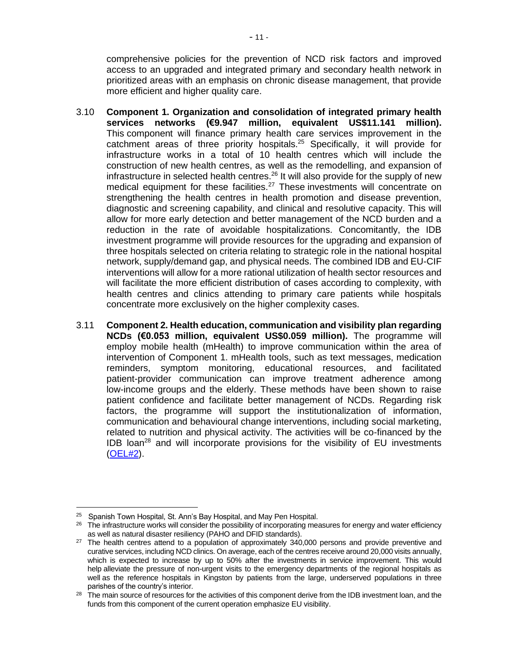comprehensive policies for the prevention of NCD risk factors and improved access to an upgraded and integrated primary and secondary health network in prioritized areas with an emphasis on chronic disease management, that provide more efficient and higher quality care.

- 3.10 **Component 1. Organization and consolidation of integrated primary health services networks (€9.947 million, equivalent US\$11.141 million).** This component will finance primary health care services improvement in the catchment areas of three priority hospitals.<sup>25</sup> Specifically, it will provide for infrastructure works in a total of 10 health centres which will include the construction of new health centres, as well as the remodelling, and expansion of infrastructure in selected health centres. <sup>26</sup> It will also provide for the supply of new medical equipment for these facilities.<sup>27</sup> These investments will concentrate on strengthening the health centres in health promotion and disease prevention, diagnostic and screening capability, and clinical and resolutive capacity. This will allow for more early detection and better management of the NCD burden and a reduction in the rate of avoidable hospitalizations. Concomitantly, the IDB investment programme will provide resources for the upgrading and expansion of three hospitals selected on criteria relating to strategic role in the national hospital network, supply/demand gap, and physical needs. The combined IDB and EU-CIF interventions will allow for a more rational utilization of health sector resources and will facilitate the more efficient distribution of cases according to complexity, with health centres and clinics attending to primary care patients while hospitals concentrate more exclusively on the higher complexity cases.
- 3.11 **Component 2. Health education, communication and visibility plan regarding NCDs (€0.053 million, equivalent US\$0.059 million).** The programme will employ mobile health (mHealth) to improve communication within the area of intervention of Component 1. mHealth tools, such as text messages, medication reminders, symptom monitoring, educational resources, and facilitated patient-provider communication can improve treatment adherence among low-income groups and the elderly. These methods have been shown to raise patient confidence and facilitate better management of NCDs. Regarding risk factors, the programme will support the institutionalization of information, communication and behavioural change interventions, including social marketing, related to nutrition and physical activity. The activities will be co-financed by the IDB loan<sup>28</sup> and will incorporate provisions for the visibility of EU investments [\(OEL#2\)](http://idbdocs.iadb.org/wsdocs/getDocument.aspx?DOCNUM=EZSHARE-404563548-8).

<sup>&</sup>lt;sup>25</sup> Spanish Town Hospital, St. Ann's Bay Hospital, and May Pen Hospital.

<sup>&</sup>lt;sup>26</sup> The infrastructure works will consider the possibility of incorporating measures for energy and water efficiency as well as natural disaster resiliency (PAHO and DFID standards).

<sup>&</sup>lt;sup>27</sup> The health centres attend to a population of approximately 340,000 persons and provide preventive and curative services, including NCD clinics. On average, each of the centres receive around 20,000 visits annually, which is expected to increase by up to 50% after the investments in service improvement. This would help alleviate the pressure of non-urgent visits to the emergency departments of the regional hospitals as well as the reference hospitals in Kingston by patients from the large, underserved populations in three parishes of the country's interior.

 $28$  The main source of resources for the activities of this component derive from the IDB investment loan, and the funds from this component of the current operation emphasize EU visibility.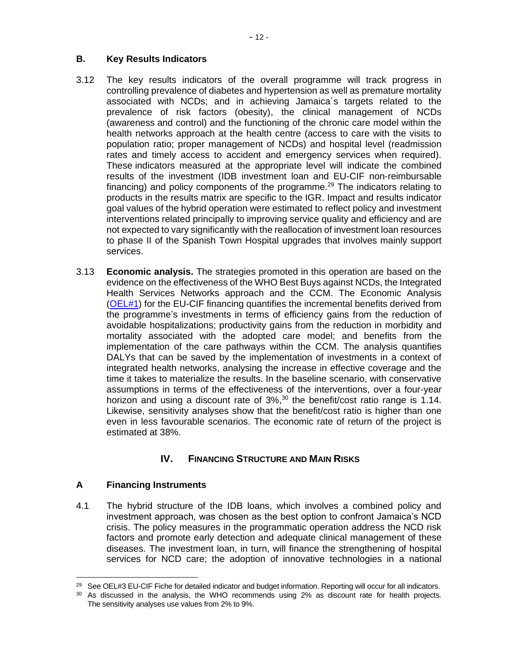#### **B. Key Results Indicators**

- 3.12 The key results indicators of the overall programme will track progress in controlling prevalence of diabetes and hypertension as well as premature mortality associated with NCDs; and in achieving Jamaica´s targets related to the prevalence of risk factors (obesity), the clinical management of NCDs (awareness and control) and the functioning of the chronic care model within the health networks approach at the health centre (access to care with the visits to population ratio; proper management of NCDs) and hospital level (readmission rates and timely access to accident and emergency services when required). These indicators measured at the appropriate level will indicate the combined results of the investment (IDB investment loan and EU-CIF non-reimbursable financing) and policy components of the programme.<sup>29</sup> The indicators relating to products in the results matrix are specific to the IGR. Impact and results indicator goal values of the hybrid operation were estimated to reflect policy and investment interventions related principally to improving service quality and efficiency and are not expected to vary significantly with the reallocation of investment loan resources to phase II of the Spanish Town Hospital upgrades that involves mainly support services.
- 3.13 **Economic analysis.** The strategies promoted in this operation are based on the evidence on the effectiveness of the WHO Best Buys against NCDs, the Integrated Health Services Networks approach and the CCM. The Economic Analysis [\(OEL#1\)](http://idbdocs.iadb.org/wsdocs/getDocument.aspx?DOCNUM=EZSHARE-404563548-19) for the EU-CIF financing quantifies the incremental benefits derived from the programme's investments in terms of efficiency gains from the reduction of avoidable hospitalizations; productivity gains from the reduction in morbidity and mortality associated with the adopted care model; and benefits from the implementation of the care pathways within the CCM. The analysis quantifies DALYs that can be saved by the implementation of investments in a context of integrated health networks, analysing the increase in effective coverage and the time it takes to materialize the results. In the baseline scenario, with conservative assumptions in terms of the effectiveness of the interventions, over a four-year horizon and using a discount rate of 3%,<sup>30</sup> the benefit/cost ratio range is 1.14. Likewise, sensitivity analyses show that the benefit/cost ratio is higher than one even in less favourable scenarios. The economic rate of return of the project is estimated at 38%.

### **IV. FINANCING STRUCTURE AND MAIN RISKS**

#### **A Financing Instruments**

4.1 The hybrid structure of the IDB loans, which involves a combined policy and investment approach, was chosen as the best option to confront Jamaica's NCD crisis. The policy measures in the programmatic operation address the NCD risk factors and promote early detection and adequate clinical management of these diseases. The investment loan, in turn, will finance the strengthening of hospital services for NCD care; the adoption of innovative technologies in a national

<sup>&</sup>lt;sup>29</sup> See OEL#3 EU-CIF Fiche for detailed indicator and budget information. Reporting will occur for all indicators.

<sup>&</sup>lt;sup>30</sup> As discussed in the analysis, the WHO recommends using 2% as discount rate for health projects. The sensitivity analyses use values from 2% to 9%.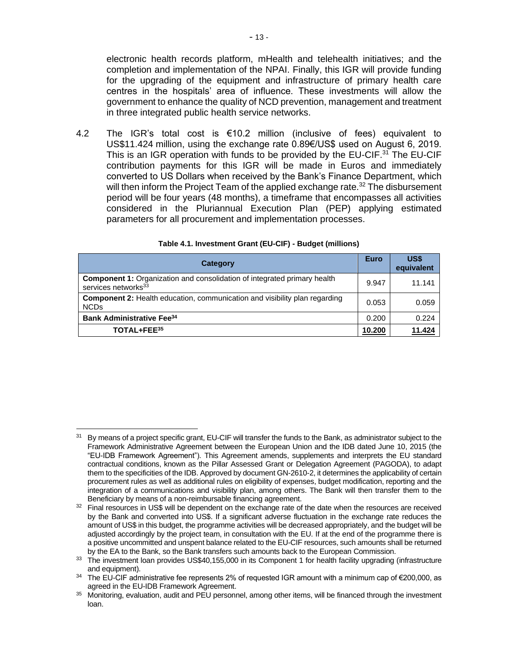electronic health records platform, mHealth and telehealth initiatives; and the completion and implementation of the NPAI. Finally, this IGR will provide funding for the upgrading of the equipment and infrastructure of primary health care centres in the hospitals' area of influence. These investments will allow the government to enhance the quality of NCD prevention, management and treatment in three integrated public health service networks.

4.2 The IGR's total cost is €10.2 million (inclusive of fees) equivalent to US\$11.424 million, using the exchange rate 0.89€/US\$ used on August 6, 2019. This is an IGR operation with funds to be provided by the EU-CIF.<sup>31</sup> The EU-CIF contribution payments for this IGR will be made in Euros and immediately converted to US Dollars when received by the Bank's Finance Department, which will then inform the Project Team of the applied exchange rate.<sup>32</sup> The disbursement period will be four years (48 months), a timeframe that encompasses all activities considered in the Pluriannual Execution Plan (PEP) applying estimated parameters for all procurement and implementation processes.

| Category                                                                                                           | <b>Euro</b> | US\$<br>equivalent |
|--------------------------------------------------------------------------------------------------------------------|-------------|--------------------|
| <b>Component 1:</b> Organization and consolidation of integrated primary health<br>services networks <sup>33</sup> | 9.947       | 11.141             |
| <b>Component 2: Health education, communication and visibility plan regarding</b><br><b>NCDs</b>                   | 0.053       | 0.059              |
| <b>Bank Administrative Fee</b> <sup>34</sup>                                                                       |             | 0.224              |
| TOTAL+FEE <sup>35</sup>                                                                                            | 10.200      | 11.424             |

#### **Table 4.1. Investment Grant (EU-CIF) - Budget (millions)**

<sup>&</sup>lt;sup>31</sup> By means of a project specific grant, EU-CIF will transfer the funds to the Bank, as administrator subject to the Framework Administrative Agreement between the European Union and the IDB dated June 10, 2015 (the "EU-IDB Framework Agreement"). This Agreement amends, supplements and interprets the EU standard contractual conditions, known as the Pillar Assessed Grant or Delegation Agreement (PAGODA), to adapt them to the specificities of the IDB. Approved by document GN-2610-2, it determines the applicability of certain procurement rules as well as additional rules on eligibility of expenses, budget modification, reporting and the integration of a communications and visibility plan, among others. The Bank will then transfer them to the Beneficiary by means of a non-reimbursable financing agreement.

 $32$  Final resources in US\$ will be dependent on the exchange rate of the date when the resources are received by the Bank and converted into US\$. If a significant adverse fluctuation in the exchange rate reduces the amount of US\$ in this budget, the programme activities will be decreased appropriately, and the budget will be adjusted accordingly by the project team, in consultation with the EU. If at the end of the programme there is a positive uncommitted and unspent balance related to the EU-CIF resources, such amounts shall be returned by the EA to the Bank, so the Bank transfers such amounts back to the European Commission.

<sup>&</sup>lt;sup>33</sup> The investment loan provides US\$40,155,000 in its Component 1 for health facility upgrading (infrastructure and equipment).

 $34$  The EU-CIF administrative fee represents 2% of requested IGR amount with a minimum cap of €200,000, as agreed in the EU-IDB Framework Agreement.

<sup>&</sup>lt;sup>35</sup> Monitoring, evaluation, audit and PEU personnel, among other items, will be financed through the investment loan.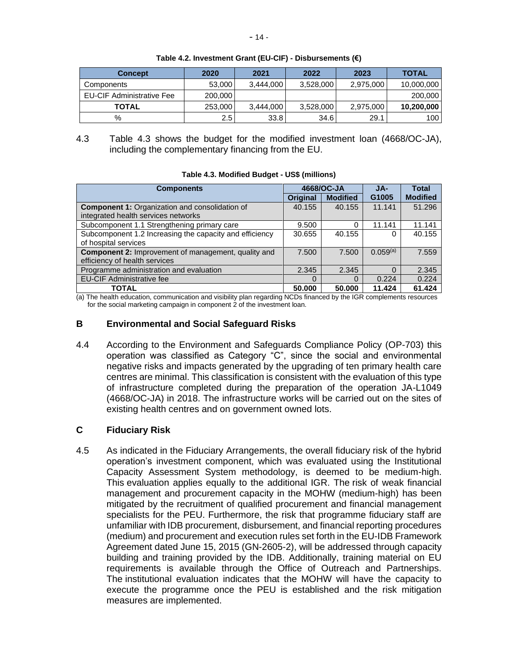| <b>Concept</b>                   | 2020    | 2021      | 2022      | 2023      | <b>TOTAL</b> |
|----------------------------------|---------|-----------|-----------|-----------|--------------|
| Components                       | 53,000  | 3.444.000 | 3,528,000 | 2,975,000 | 10,000,000   |
| <b>EU-CIF Administrative Fee</b> | 200,000 |           |           |           | 200,000      |
| <b>TOTAL</b>                     | 253,000 | 3.444.000 | 3,528,000 | 2,975,000 | 10,200,000   |
| %                                | 2.5     | 33.8      | 34.6      | 29.1      | 100          |

**Table 4.2. Investment Grant (EU-CIF) - Disbursements (€)**

4.3 Table 4.3 shows the budget for the modified investment loan (4668/OC-JA), including the complementary financing from the EU.

**Table 4.3. Modified Budget - US\$ (millions)**

| <b>Components</b>                                          |                 | 4668/OC-JA      | JA-               | <b>Total</b>    |
|------------------------------------------------------------|-----------------|-----------------|-------------------|-----------------|
|                                                            | <b>Original</b> | <b>Modified</b> | G <sub>1005</sub> | <b>Modified</b> |
| <b>Component 1: Organization and consolidation of</b>      | 40.155          | 40.155          | 11.141            | 51.296          |
| integrated health services networks                        |                 |                 |                   |                 |
| Subcomponent 1.1 Strengthening primary care                | 9.500           | 0               | 11.141            | 11.141          |
| Subcomponent 1.2 Increasing the capacity and efficiency    | 30.655          | 40.155          |                   | 40.155          |
| of hospital services                                       |                 |                 |                   |                 |
| <b>Component 2:</b> Improvement of management, quality and | 7.500           | 7.500           | $0.059^{(a)}$     | 7.559           |
| efficiency of health services                              |                 |                 |                   |                 |
| Programme administration and evaluation                    | 2.345           | 2.345           |                   | 2.345           |
| <b>EU-CIF Administrative fee</b>                           | 0               |                 | 0.224             | 0.224           |
| <b>TOTAL</b>                                               | 50.000          | 50,000          | 11.424            | 61.424          |

(a) The health education, communication and visibility plan regarding NCDs financed by the IGR complements resources for the social marketing campaign in component 2 of the investment loan.

#### **B Environmental and Social Safeguard Risks**

4.4 According to the Environment and Safeguards Compliance Policy (OP-703) this operation was classified as Category "C", since the social and environmental negative risks and impacts generated by the upgrading of ten primary health care centres are minimal. This classification is consistent with the evaluation of this type of infrastructure completed during the preparation of the operation JA-L1049 (4668/OC-JA) in 2018. The infrastructure works will be carried out on the sites of existing health centres and on government owned lots.

#### **C Fiduciary Risk**

4.5 As indicated in the Fiduciary Arrangements, the overall fiduciary risk of the hybrid operation's investment component, which was evaluated using the Institutional Capacity Assessment System methodology, is deemed to be medium-high. This evaluation applies equally to the additional IGR. The risk of weak financial management and procurement capacity in the MOHW (medium-high) has been mitigated by the recruitment of qualified procurement and financial management specialists for the PEU. Furthermore, the risk that programme fiduciary staff are unfamiliar with IDB procurement, disbursement, and financial reporting procedures (medium) and procurement and execution rules set forth in the EU-IDB Framework Agreement dated June 15, 2015 (GN-2605-2), will be addressed through capacity building and training provided by the IDB. Additionally, training material on EU requirements is available through the Office of Outreach and Partnerships. The institutional evaluation indicates that the MOHW will have the capacity to execute the programme once the PEU is established and the risk mitigation measures are implemented.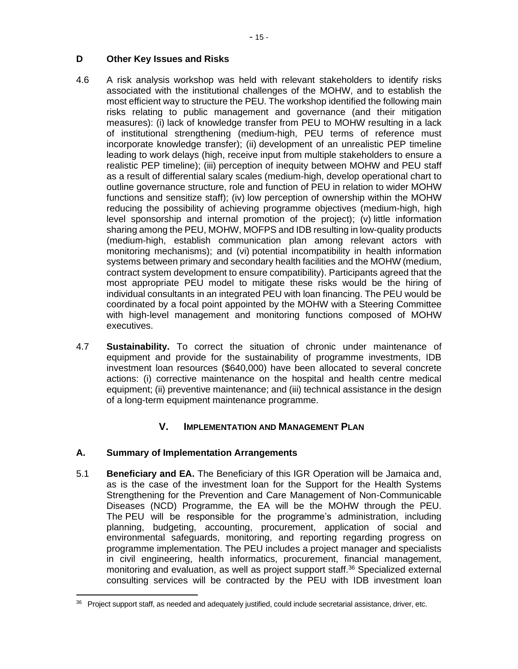#### **D Other Key Issues and Risks**

- 4.6 A risk analysis workshop was held with relevant stakeholders to identify risks associated with the institutional challenges of the MOHW, and to establish the most efficient way to structure the PEU. The workshop identified the following main risks relating to public management and governance (and their mitigation measures): (i) lack of knowledge transfer from PEU to MOHW resulting in a lack of institutional strengthening (medium-high, PEU terms of reference must incorporate knowledge transfer); (ii) development of an unrealistic PEP timeline leading to work delays (high, receive input from multiple stakeholders to ensure a realistic PEP timeline); (iii) perception of inequity between MOHW and PEU staff as a result of differential salary scales (medium-high, develop operational chart to outline governance structure, role and function of PEU in relation to wider MOHW functions and sensitize staff); (iv) low perception of ownership within the MOHW reducing the possibility of achieving programme objectives (medium-high, high level sponsorship and internal promotion of the project); (v) little information sharing among the PEU, MOHW, MOFPS and IDB resulting in low-quality products (medium-high, establish communication plan among relevant actors with monitoring mechanisms); and (vi) potential incompatibility in health information systems between primary and secondary health facilities and the MOHW (medium, contract system development to ensure compatibility). Participants agreed that the most appropriate PEU model to mitigate these risks would be the hiring of individual consultants in an integrated PEU with loan financing. The PEU would be coordinated by a focal point appointed by the MOHW with a Steering Committee with high-level management and monitoring functions composed of MOHW executives.
- 4.7 **Sustainability.** To correct the situation of chronic under maintenance of equipment and provide for the sustainability of programme investments, IDB investment loan resources (\$640,000) have been allocated to several concrete actions: (i) corrective maintenance on the hospital and health centre medical equipment; (ii) preventive maintenance; and (iii) technical assistance in the design of a long-term equipment maintenance programme.

### **V. IMPLEMENTATION AND MANAGEMENT PLAN**

#### **A. Summary of Implementation Arrangements**

5.1 **Beneficiary and EA.** The Beneficiary of this IGR Operation will be Jamaica and, as is the case of the investment loan for the Support for the Health Systems Strengthening for the Prevention and Care Management of Non-Communicable Diseases (NCD) Programme, the EA will be the MOHW through the PEU. The PEU will be responsible for the programme's administration, including planning, budgeting, accounting, procurement, application of social and environmental safeguards, monitoring, and reporting regarding progress on programme implementation. The PEU includes a project manager and specialists in civil engineering, health informatics, procurement, financial management, monitoring and evaluation, as well as project support staff.<sup>36</sup> Specialized external consulting services will be contracted by the PEU with IDB investment loan

<sup>&</sup>lt;sup>36</sup> Project support staff, as needed and adequately justified, could include secretarial assistance, driver, etc.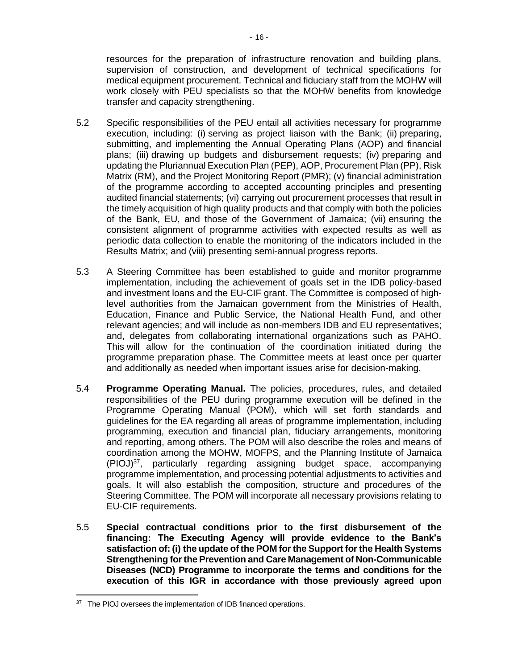resources for the preparation of infrastructure renovation and building plans, supervision of construction, and development of technical specifications for medical equipment procurement. Technical and fiduciary staff from the MOHW will work closely with PEU specialists so that the MOHW benefits from knowledge transfer and capacity strengthening.

- 5.2 Specific responsibilities of the PEU entail all activities necessary for programme execution, including: (i) serving as project liaison with the Bank; (ii) preparing, submitting, and implementing the Annual Operating Plans (AOP) and financial plans; (iii) drawing up budgets and disbursement requests; (iv) preparing and updating the Pluriannual Execution Plan (PEP), AOP, Procurement Plan (PP), Risk Matrix (RM), and the Project Monitoring Report (PMR); (v) financial administration of the programme according to accepted accounting principles and presenting audited financial statements; (vi) carrying out procurement processes that result in the timely acquisition of high quality products and that comply with both the policies of the Bank, EU, and those of the Government of Jamaica; (vii) ensuring the consistent alignment of programme activities with expected results as well as periodic data collection to enable the monitoring of the indicators included in the Results Matrix; and (viii) presenting semi-annual progress reports.
- 5.3 A Steering Committee has been established to guide and monitor programme implementation, including the achievement of goals set in the IDB policy-based and investment loans and the EU-CIF grant. The Committee is composed of highlevel authorities from the Jamaican government from the Ministries of Health, Education, Finance and Public Service, the National Health Fund, and other relevant agencies; and will include as non-members IDB and EU representatives; and, delegates from collaborating international organizations such as PAHO. This will allow for the continuation of the coordination initiated during the programme preparation phase. The Committee meets at least once per quarter and additionally as needed when important issues arise for decision-making.
- 5.4 **Programme Operating Manual.** The policies, procedures, rules, and detailed responsibilities of the PEU during programme execution will be defined in the Programme Operating Manual (POM), which will set forth standards and guidelines for the EA regarding all areas of programme implementation, including programming, execution and financial plan, fiduciary arrangements, monitoring and reporting, among others. The POM will also describe the roles and means of coordination among the MOHW, MOFPS, and the Planning Institute of Jamaica (PIOJ) <sup>37</sup>, particularly regarding assigning budget space, accompanying programme implementation, and processing potential adjustments to activities and goals. It will also establish the composition, structure and procedures of the Steering Committee. The POM will incorporate all necessary provisions relating to EU-CIF requirements.
- 5.5 **Special contractual conditions prior to the first disbursement of the financing: The Executing Agency will provide evidence to the Bank's satisfaction of: (i) the update of the POM for the Support for the Health Systems Strengthening for the Prevention and Care Management of Non-Communicable Diseases (NCD) Programme to incorporate the terms and conditions for the execution of this IGR in accordance with those previously agreed upon**

<sup>&</sup>lt;sup>37</sup> The PIOJ oversees the implementation of IDB financed operations.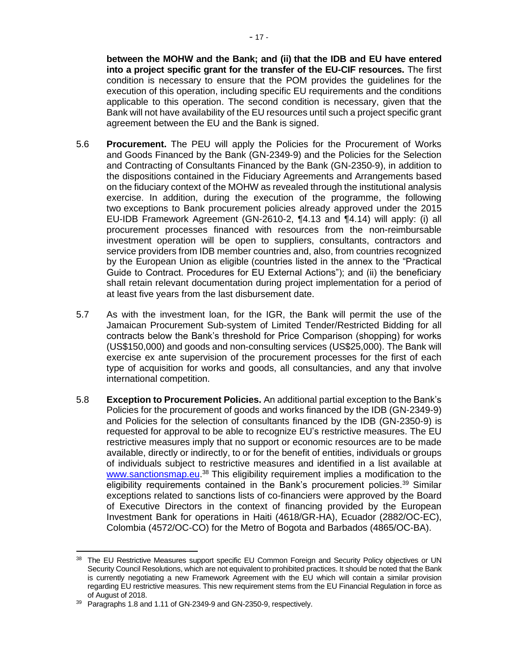**between the MOHW and the Bank; and (ii) that the IDB and EU have entered into a project specific grant for the transfer of the EU-CIF resources.** The first condition is necessary to ensure that the POM provides the guidelines for the execution of this operation, including specific EU requirements and the conditions applicable to this operation. The second condition is necessary, given that the Bank will not have availability of the EU resources until such a project specific grant agreement between the EU and the Bank is signed.

- 5.6 **Procurement.** The PEU will apply the Policies for the Procurement of Works and Goods Financed by the Bank (GN-2349-9) and the Policies for the Selection and Contracting of Consultants Financed by the Bank (GN-2350-9), in addition to the dispositions contained in the Fiduciary Agreements and Arrangements based on the fiduciary context of the MOHW as revealed through the institutional analysis exercise. In addition, during the execution of the programme, the following two exceptions to Bank procurement policies already approved under the 2015 EU-IDB Framework Agreement (GN-2610-2, ¶4.13 and ¶4.14) will apply: (i) all procurement processes financed with resources from the non-reimbursable investment operation will be open to suppliers, consultants, contractors and service providers from IDB member countries and, also, from countries recognized by the European Union as eligible (countries listed in the annex to the "Practical Guide to Contract. Procedures for EU External Actions"); and (ii) the beneficiary shall retain relevant documentation during project implementation for a period of at least five years from the last disbursement date.
- 5.7 As with the investment loan, for the IGR, the Bank will permit the use of the Jamaican Procurement Sub-system of Limited Tender/Restricted Bidding for all contracts below the Bank's threshold for Price Comparison (shopping) for works (US\$150,000) and goods and non-consulting services (US\$25,000). The Bank will exercise ex ante supervision of the procurement processes for the first of each type of acquisition for works and goods, all consultancies, and any that involve international competition.
- 5.8 **Exception to Procurement Policies.** An additional partial exception to the Bank's Policies for the procurement of goods and works financed by the IDB (GN-2349-9) and Policies for the selection of consultants financed by the IDB (GN-2350-9) is requested for approval to be able to recognize EU's restrictive measures. The EU restrictive measures imply that no support or economic resources are to be made available, directly or indirectly, to or for the benefit of entities, individuals or groups of individuals subject to restrictive measures and identified in a list available at [www.sanctionsmap.eu.](http://www.sanctionsmap.eu/)<sup>38</sup> This eligibility requirement implies a modification to the eligibility requirements contained in the Bank's procurement policies.<sup>39</sup> Similar exceptions related to sanctions lists of co-financiers were approved by the Board of Executive Directors in the context of financing provided by the European Investment Bank for operations in Haiti (4618/GR-HA), Ecuador (2882/OC-EC), Colombia (4572/OC-CO) for the Metro of Bogota and Barbados (4865/OC-BA).

<sup>&</sup>lt;sup>38</sup> The EU Restrictive Measures support specific EU Common Foreign and Security Policy objectives or UN Security Council Resolutions, which are not equivalent to prohibited practices. It should be noted that the Bank is currently negotiating a new Framework Agreement with the EU which will contain a similar provision regarding EU restrictive measures. This new requirement stems from the EU Financial Regulation in force as of August of 2018.

<sup>39</sup> Paragraphs 1.8 and 1.11 of GN-2349-9 and GN-2350-9, respectively.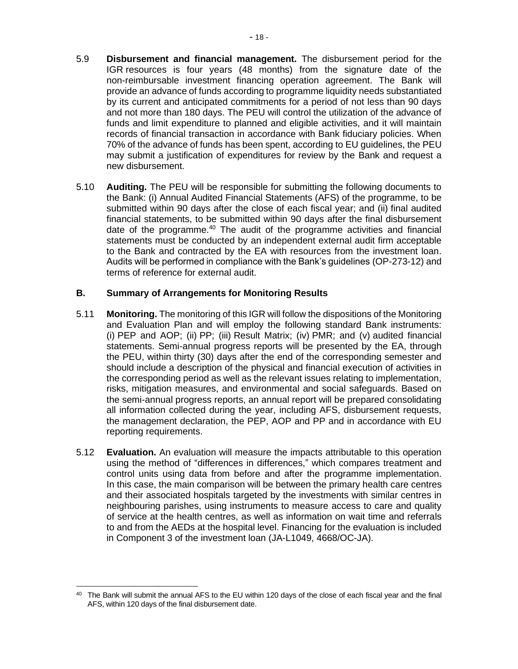- 5.9 **Disbursement and financial management.** The disbursement period for the IGR resources is four years (48 months) from the signature date of the non-reimbursable investment financing operation agreement. The Bank will provide an advance of funds according to programme liquidity needs substantiated by its current and anticipated commitments for a period of not less than 90 days and not more than 180 days. The PEU will control the utilization of the advance of funds and limit expenditure to planned and eligible activities, and it will maintain records of financial transaction in accordance with Bank fiduciary policies. When 70% of the advance of funds has been spent, according to EU guidelines, the PEU may submit a justification of expenditures for review by the Bank and request a new disbursement.
- 5.10 **Auditing.** The PEU will be responsible for submitting the following documents to the Bank: (i) Annual Audited Financial Statements (AFS) of the programme, to be submitted within 90 days after the close of each fiscal year; and (ii) final audited financial statements, to be submitted within 90 days after the final disbursement date of the programme.<sup>40</sup> The audit of the programme activities and financial statements must be conducted by an independent external audit firm acceptable to the Bank and contracted by the EA with resources from the investment loan. Audits will be performed in compliance with the Bank's guidelines (OP-273-12) and terms of reference for external audit.

#### **B. Summary of Arrangements for Monitoring Results**

- 5.11 **Monitoring.** The monitoring of this IGR will follow the dispositions of the Monitoring and Evaluation Plan and will employ the following standard Bank instruments: (i)  $PEP$  and  $AOP$ ; (ii)  $PP$ ; (iii) Result Matrix; (iv)  $PMR$ ; and (v) audited financial statements. Semi-annual progress reports will be presented by the EA, through the PEU, within thirty (30) days after the end of the corresponding semester and should include a description of the physical and financial execution of activities in the corresponding period as well as the relevant issues relating to implementation, risks, mitigation measures, and environmental and social safeguards. Based on the semi-annual progress reports, an annual report will be prepared consolidating all information collected during the year, including AFS, disbursement requests, the management declaration, the PEP, AOP and PP and in accordance with EU reporting requirements.
- 5.12 **Evaluation.** An evaluation will measure the impacts attributable to this operation using the method of "differences in differences," which compares treatment and control units using data from before and after the programme implementation. In this case, the main comparison will be between the primary health care centres and their associated hospitals targeted by the investments with similar centres in neighbouring parishes, using instruments to measure access to care and quality of service at the health centres, as well as information on wait time and referrals to and from the AEDs at the hospital level. Financing for the evaluation is included in Component 3 of the investment loan (JA-L1049, 4668/OC-JA).

<sup>&</sup>lt;sup>40</sup> The Bank will submit the annual AFS to the EU within 120 days of the close of each fiscal year and the final AFS, within 120 days of the final disbursement date.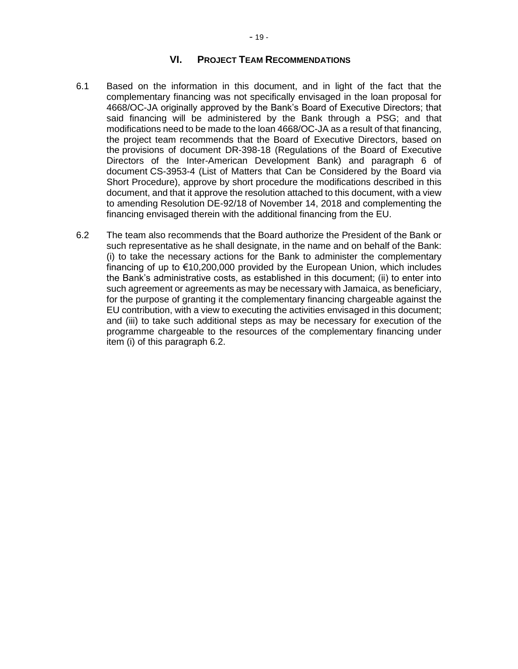#### **VI. PROJECT TEAM RECOMMENDATIONS**

- 6.1 Based on the information in this document, and in light of the fact that the complementary financing was not specifically envisaged in the loan proposal for 4668/OC-JA originally approved by the Bank's Board of Executive Directors; that said financing will be administered by the Bank through a PSG; and that modifications need to be made to the loan 4668/OC-JA as a result of that financing, the project team recommends that the Board of Executive Directors, based on the provisions of document DR-398-18 (Regulations of the Board of Executive Directors of the Inter-American Development Bank) and paragraph 6 of document CS-3953-4 (List of Matters that Can be Considered by the Board via Short Procedure), approve by short procedure the modifications described in this document, and that it approve the resolution attached to this document, with a view to amending Resolution DE-92/18 of November 14, 2018 and complementing the financing envisaged therein with the additional financing from the EU.
- 6.2 The team also recommends that the Board authorize the President of the Bank or such representative as he shall designate, in the name and on behalf of the Bank: (i) to take the necessary actions for the Bank to administer the complementary financing of up to €10,200,000 provided by the European Union, which includes the Bank's administrative costs, as established in this document; (ii) to enter into such agreement or agreements as may be necessary with Jamaica, as beneficiary, for the purpose of granting it the complementary financing chargeable against the EU contribution, with a view to executing the activities envisaged in this document; and (iii) to take such additional steps as may be necessary for execution of the programme chargeable to the resources of the complementary financing under item (i) of this paragraph 6.2.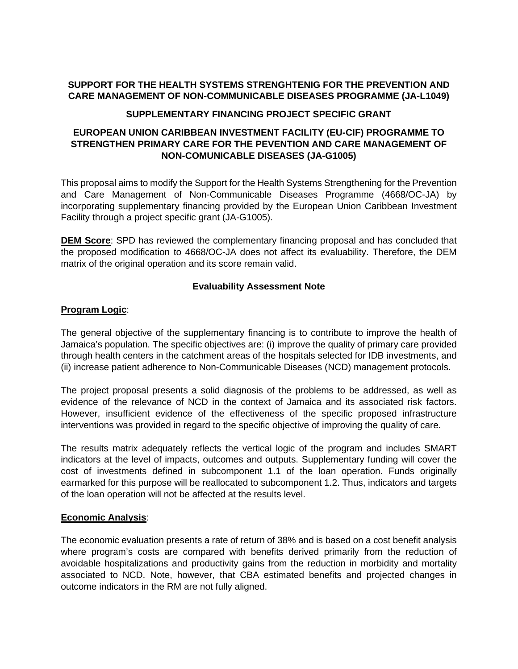#### **SUPPORT FOR THE HEALTH SYSTEMS STRENGHTENIG FOR THE PREVENTION AND CARE MANAGEMENT OF NON-COMMUNICABLE DISEASES PROGRAMME (JA-L1049)**

#### **SUPPLEMENTARY FINANCING PROJECT SPECIFIC GRANT**

#### **EUROPEAN UNION CARIBBEAN INVESTMENT FACILITY (EU-CIF) PROGRAMME TO STRENGTHEN PRIMARY CARE FOR THE PEVENTION AND CARE MANAGEMENT OF NON-COMUNICABLE DISEASES (JA-G1005)**

This proposal aims to modify the Support for the Health Systems Strengthening for the Prevention and Care Management of Non-Communicable Diseases Programme (4668/OC-JA) by incorporating supplementary financing provided by the European Union Caribbean Investment Facility through a project specific grant (JA-G1005).

**DEM Score**: SPD has reviewed the complementary financing proposal and has concluded that the proposed modification to 4668/OC-JA does not affect its evaluability. Therefore, the DEM matrix of the original operation and its score remain valid.

#### **Evaluability Assessment Note**

#### **Program Logic**:

The general objective of the supplementary financing is to contribute to improve the health of Jamaica's population. The specific objectives are: (i) improve the quality of primary care provided through health centers in the catchment areas of the hospitals selected for IDB investments, and (ii) increase patient adherence to Non-Communicable Diseases (NCD) management protocols.

The project proposal presents a solid diagnosis of the problems to be addressed, as well as evidence of the relevance of NCD in the context of Jamaica and its associated risk factors. However, insufficient evidence of the effectiveness of the specific proposed infrastructure interventions was provided in regard to the specific objective of improving the quality of care.

The results matrix adequately reflects the vertical logic of the program and includes SMART indicators at the level of impacts, outcomes and outputs. Supplementary funding will cover the cost of investments defined in subcomponent 1.1 of the loan operation. Funds originally earmarked for this purpose will be reallocated to subcomponent 1.2. Thus, indicators and targets of the loan operation will not be affected at the results level.

#### **Economic Analysis**:

The economic evaluation presents a rate of return of 38% and is based on a cost benefit analysis where program's costs are compared with benefits derived primarily from the reduction of avoidable hospitalizations and productivity gains from the reduction in morbidity and mortality associated to NCD. Note, however, that CBA estimated benefits and projected changes in outcome indicators in the RM are not fully aligned.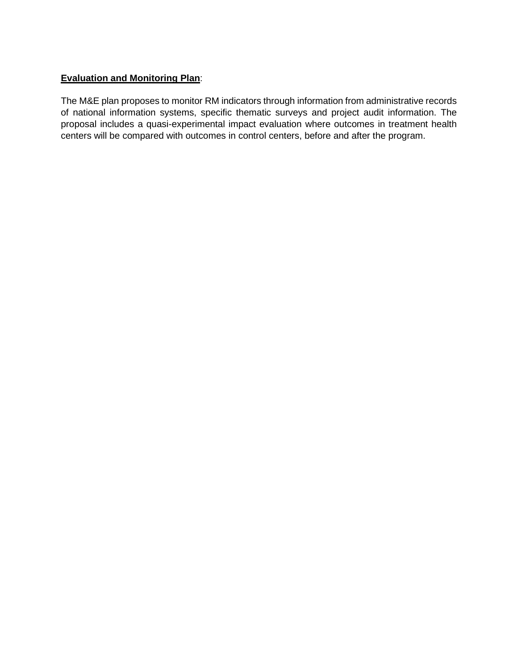#### **Evaluation and Monitoring Plan**:

The M&E plan proposes to monitor RM indicators through information from administrative records of national information systems, specific thematic surveys and project audit information. The proposal includes a quasi-experimental impact evaluation where outcomes in treatment health centers will be compared with outcomes in control centers, before and after the program.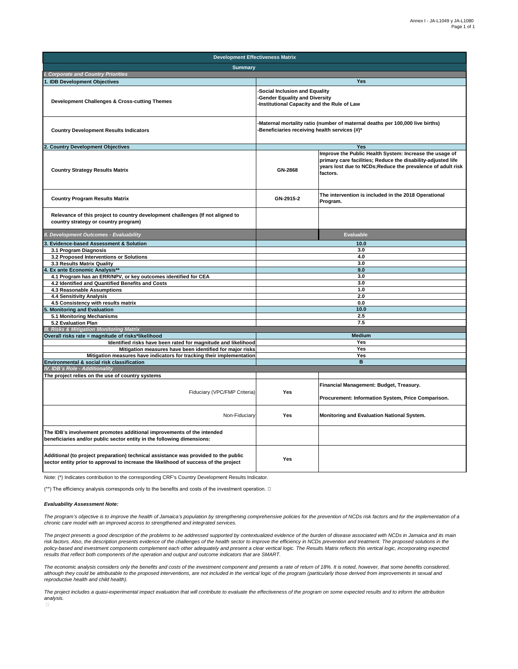| <b>Development Effectiveness Matrix</b>                                                                                                                                     |                                                                                                                      |                                                                                                                                                                                                    |  |  |
|-----------------------------------------------------------------------------------------------------------------------------------------------------------------------------|----------------------------------------------------------------------------------------------------------------------|----------------------------------------------------------------------------------------------------------------------------------------------------------------------------------------------------|--|--|
| <b>Summary</b>                                                                                                                                                              |                                                                                                                      |                                                                                                                                                                                                    |  |  |
| I. Corporate and Country Priorities                                                                                                                                         |                                                                                                                      |                                                                                                                                                                                                    |  |  |
| . IDB Development Objectives                                                                                                                                                | Yes                                                                                                                  |                                                                                                                                                                                                    |  |  |
| Development Challenges & Cross-cutting Themes                                                                                                                               | Social Inclusion and Equality<br><b>Gender Equality and Diversity</b><br>-Institutional Capacity and the Rule of Law |                                                                                                                                                                                                    |  |  |
| <b>Country Development Results Indicators</b>                                                                                                                               |                                                                                                                      | Maternal mortality ratio (number of maternal deaths per 100,000 live births)<br>-Beneficiaries receiving health services (#)*                                                                      |  |  |
| <b>Country Development Objectives</b>                                                                                                                                       |                                                                                                                      | <b>Yes</b>                                                                                                                                                                                         |  |  |
| <b>Country Strategy Results Matrix</b>                                                                                                                                      | GN-2868                                                                                                              | Improve the Public Health System: Increase the usage of<br>primary care facilities; Reduce the disability-adjusted life<br>years lost due to NCDs; Reduce the prevalence of adult risk<br>factors. |  |  |
| <b>Country Program Results Matrix</b>                                                                                                                                       | GN-2915-2                                                                                                            | The intervention is included in the 2018 Operational<br>Program.                                                                                                                                   |  |  |
| Relevance of this project to country development challenges (If not aligned to<br>country strategy or country program)                                                      |                                                                                                                      |                                                                                                                                                                                                    |  |  |
| <b>Development Outcomes - Evaluability</b>                                                                                                                                  |                                                                                                                      | <b>Evaluable</b>                                                                                                                                                                                   |  |  |
| <b>Evidence-based Assessment &amp; Solution</b>                                                                                                                             | 10.0                                                                                                                 |                                                                                                                                                                                                    |  |  |
| 3.1 Program Diagnosis                                                                                                                                                       | 3.0                                                                                                                  |                                                                                                                                                                                                    |  |  |
| 3.2 Proposed Interventions or Solutions                                                                                                                                     | 4.0                                                                                                                  |                                                                                                                                                                                                    |  |  |
| 3.3 Results Matrix Quality                                                                                                                                                  | 3.0<br>9.0                                                                                                           |                                                                                                                                                                                                    |  |  |
| Ex ante Economic Analysis**<br>4.1 Program has an ERR/NPV, or key outcomes identified for CEA                                                                               |                                                                                                                      | 3.0                                                                                                                                                                                                |  |  |
| 4.2 Identified and Quantified Benefits and Costs                                                                                                                            |                                                                                                                      | 3.0                                                                                                                                                                                                |  |  |
| 4.3 Reasonable Assumptions                                                                                                                                                  |                                                                                                                      | 1.0                                                                                                                                                                                                |  |  |
| 4.4 Sensitivity Analysis                                                                                                                                                    |                                                                                                                      | 2.0                                                                                                                                                                                                |  |  |
| 4.5 Consistency with results matrix                                                                                                                                         |                                                                                                                      | 0.0                                                                                                                                                                                                |  |  |
| <b>Monitoring and Evaluation</b>                                                                                                                                            |                                                                                                                      | 10.0                                                                                                                                                                                               |  |  |
| 5.1 Monitoring Mechanisms                                                                                                                                                   |                                                                                                                      | 2.5                                                                                                                                                                                                |  |  |
| 5.2 Evaluation Plan<br><b>Risks &amp; Mitigation Monitoring Matrix</b>                                                                                                      |                                                                                                                      | 7.5                                                                                                                                                                                                |  |  |
| Overall risks rate = magnitude of risks*likelihood                                                                                                                          |                                                                                                                      | <b>Medium</b>                                                                                                                                                                                      |  |  |
| Identified risks have been rated for magnitude and likelihood                                                                                                               | Yes                                                                                                                  |                                                                                                                                                                                                    |  |  |
| Mitigation measures have been identified for major risks                                                                                                                    |                                                                                                                      | Yes                                                                                                                                                                                                |  |  |
| Mitigation measures have indicators for tracking their implementation                                                                                                       |                                                                                                                      | Yes                                                                                                                                                                                                |  |  |
| Environmental & social risk classification                                                                                                                                  |                                                                                                                      | B                                                                                                                                                                                                  |  |  |
| IV. IDB's Role - Additionality                                                                                                                                              |                                                                                                                      |                                                                                                                                                                                                    |  |  |
| The project relies on the use of country systems                                                                                                                            |                                                                                                                      |                                                                                                                                                                                                    |  |  |
| Fiduciary (VPC/FMP Criteria)                                                                                                                                                | Yes                                                                                                                  | Financial Management: Budget, Treasury.<br>Procurement: Information System, Price Comparison.                                                                                                      |  |  |
| Non-Fiduciary                                                                                                                                                               | Yes                                                                                                                  | Monitoring and Evaluation National System.                                                                                                                                                         |  |  |
| The IDB's involvement promotes additional improvements of the intended<br>beneficiaries and/or public sector entity in the following dimensions:                            |                                                                                                                      |                                                                                                                                                                                                    |  |  |
| Additional (to project preparation) technical assistance was provided to the public<br>sector entity prior to approval to increase the likelihood of success of the project | Yes                                                                                                                  |                                                                                                                                                                                                    |  |  |

Note: (\*) Indicates contribution to the corresponding CRF's Country Development Results Indicator.

(\*\*) The efficiency analysis corresponds only to the benefits and costs of the investment operation. 

#### *Evaluability Assessment Note:*

The program's objective is to improve the health of Jamaica's population by strengthening comprehensive policies for the prevention of NCDs risk factors and for the implementation of a *chronic care model with an improved access to strengthened and integrated services.*

*The project presents a good description of the problems to be addressed supported by contextualized evidence of the burden of disease associated with NCDs in Jamaica and its main*  risk factors. Also, the description presents evidence of the challenges of the health sector to improve the efficiency in NCDs prevention and treatment. The proposed solutions in the *policy-based and investment components complement each other adequately and present a clear vertical logic. The Results Matrix reflects this vertical logic, incorporating expected results that reflect both components of the operation and output and outcome indicators that are SMART.*

The economic analysis considers only the benefits and costs of the investment component and presents a rate of return of 18%. It is noted, however, that some benefits considered, *although they could be attributable to the proposed interventions, are not included in the vertical logic of the program (particularly those derived from improvements in sexual and reproductive health and child health).*

*The project includes a quasi-experimental impact evaluation that will contribute to evaluate the effectiveness of the program on some expected results and to inform the attribution analysis.*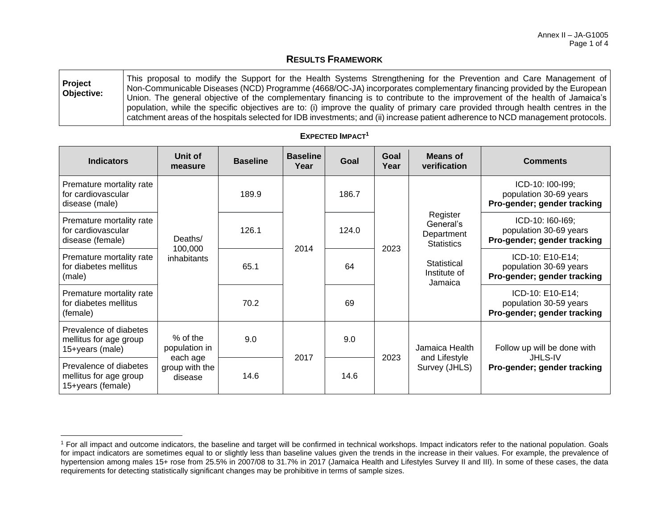#### **RESULTS FRAMEWORK**

| Project<br>Objective: | This proposal to modify the Support for the Health Systems Strengthening for the Prevention and Care Management of<br>Non-Communicable Diseases (NCD) Programme (4668/OC-JA) incorporates complementary financing provided by the European<br>Union. The general objective of the complementary financing is to contribute to the improvement of the health of Jamaica's |
|-----------------------|--------------------------------------------------------------------------------------------------------------------------------------------------------------------------------------------------------------------------------------------------------------------------------------------------------------------------------------------------------------------------|
|                       | population, while the specific objectives are to: (i) improve the quality of primary care provided through health centres in the<br>catchment areas of the hospitals selected for IDB investments; and (ii) increase patient adherence to NCD management protocols.                                                                                                      |

| <b>Indicators</b>                                                     | Unit of<br>measure                    | <b>Baseline</b> | <b>Baseline</b><br>Year | Goal  | Goal<br>Year | <b>Means of</b><br>verification                                                                    | <b>Comments</b>                                                              |
|-----------------------------------------------------------------------|---------------------------------------|-----------------|-------------------------|-------|--------------|----------------------------------------------------------------------------------------------------|------------------------------------------------------------------------------|
| Premature mortality rate<br>for cardiovascular<br>disease (male)      | Deaths/<br>100,000<br>inhabitants     | 189.9           |                         | 186.7 |              |                                                                                                    | ICD-10: I00-I99;<br>population 30-69 years<br>Pro-gender; gender tracking    |
| Premature mortality rate<br>for cardiovascular<br>disease (female)    |                                       | 126.1           | 2014                    | 124.0 |              | Register<br>General's<br>Department<br><b>Statistics</b><br>Statistical<br>Institute of<br>Jamaica | ICD-10: I60-I69;<br>population 30-69 years<br>Pro-gender; gender tracking    |
| Premature mortality rate<br>for diabetes mellitus<br>(male)           |                                       | 65.1            |                         | 64    | 2023         |                                                                                                    | ICD-10: E10-E14;<br>population 30-69 years<br>Pro-gender; gender tracking    |
| Premature mortality rate<br>for diabetes mellitus<br>(female)         |                                       | 70.2            |                         | 69    |              |                                                                                                    | ICD-10: E10-E14;<br>population 30-59 years<br>Pro-gender; gender tracking    |
| Prevalence of diabetes<br>mellitus for age group<br>15+years (male)   | $%$ of the<br>population in           | 9.0             | 2017                    | 9.0   | 2023         | Jamaica Health<br>and Lifestyle<br>Survey (JHLS)                                                   | Follow up will be done with<br><b>JHLS-IV</b><br>Pro-gender; gender tracking |
| Prevalence of diabetes<br>mellitus for age group<br>15+years (female) | each age<br>group with the<br>disease | 14.6            |                         | 14.6  |              |                                                                                                    |                                                                              |

#### **EXPECTED IMPACT<sup>1</sup>**

<sup>&</sup>lt;sup>1</sup> For all impact and outcome indicators, the baseline and target will be confirmed in technical workshops. Impact indicators refer to the national population. Goals for impact indicators are sometimes equal to or slightly less than baseline values given the trends in the increase in their values. For example, the prevalence of hypertension among males 15+ rose from 25.5% in 2007/08 to 31.7% in 2017 (Jamaica Health and Lifestyles Survey II and III). In some of these cases, the data requirements for detecting statistically significant changes may be prohibitive in terms of sample sizes.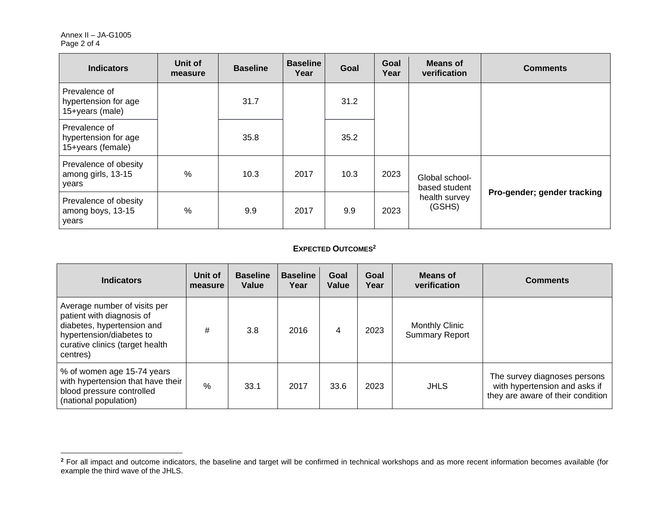| <b>Indicators</b>                                          | Unit of<br>measure | <b>Baseline</b> | <b>Baseline</b><br>Year | Goal | Goal<br>Year | <b>Means of</b><br>verification | <b>Comments</b>             |
|------------------------------------------------------------|--------------------|-----------------|-------------------------|------|--------------|---------------------------------|-----------------------------|
| Prevalence of<br>hypertension for age<br>15+years (male)   |                    | 31.7            |                         | 31.2 |              |                                 |                             |
| Prevalence of<br>hypertension for age<br>15+years (female) |                    | 35.8            |                         | 35.2 |              |                                 |                             |
| Prevalence of obesity<br>among girls, 13-15<br>years       | $\frac{0}{0}$      | 10.3            | 2017                    | 10.3 | 2023         | Global school-<br>based student |                             |
| Prevalence of obesity<br>among boys, 13-15<br>years        | $\frac{0}{0}$      | 9.9             | 2017                    | 9.9  | 2023         | health survey<br>(GSHS)         | Pro-gender; gender tracking |

#### **EXPECTED OUTCOMES<sup>2</sup>**

| <b>Indicators</b>                                                                                                                                                  | Unit of<br>measure | <b>Baseline</b><br>Value | <b>Baseline</b><br>Year | Goal<br>Value | Goal<br>Year | Means of<br>verification                       | <b>Comments</b>                                                                                    |
|--------------------------------------------------------------------------------------------------------------------------------------------------------------------|--------------------|--------------------------|-------------------------|---------------|--------------|------------------------------------------------|----------------------------------------------------------------------------------------------------|
| Average number of visits per<br>patient with diagnosis of<br>diabetes, hypertension and<br>hypertension/diabetes to<br>curative clinics (target health<br>centres) | #                  | 3.8                      | 2016                    | 4             | 2023         | <b>Monthly Clinic</b><br><b>Summary Report</b> |                                                                                                    |
| % of women age 15-74 years<br>with hypertension that have their<br>blood pressure controlled<br>(national population)                                              | $\%$               | 33.1                     | 2017                    | 33.6          | 2023         | <b>JHLS</b>                                    | The survey diagnoses persons<br>with hypertension and asks if<br>they are aware of their condition |

<sup>&</sup>lt;sup>2</sup> For all impact and outcome indicators, the baseline and target will be confirmed in technical workshops and as more recent information becomes available (for example the third wave of the JHLS.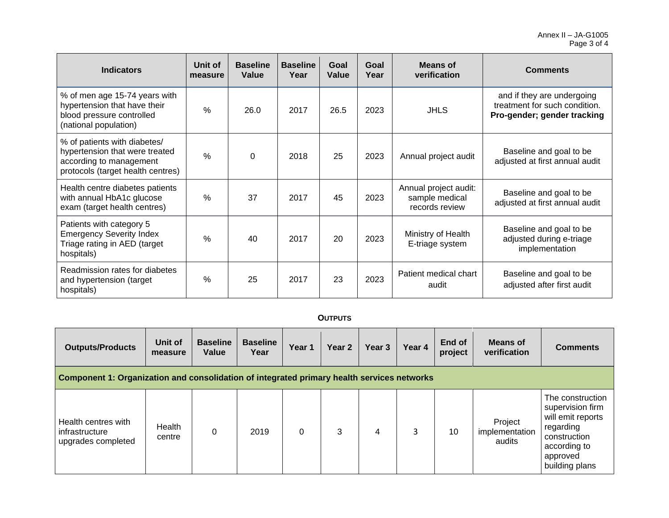| <b>Indicators</b>                                                                                                              | Unit of<br>measure | <b>Baseline</b><br>Value | <b>Baseline</b><br>Year | Goal<br>Value | Goal<br>Year | Means of<br>verification                                  | <b>Comments</b>                                                                            |
|--------------------------------------------------------------------------------------------------------------------------------|--------------------|--------------------------|-------------------------|---------------|--------------|-----------------------------------------------------------|--------------------------------------------------------------------------------------------|
| % of men age 15-74 years with<br>hypertension that have their<br>blood pressure controlled<br>(national population)            | $\frac{0}{0}$      | 26.0                     | 2017                    | 26.5          | 2023         | <b>JHLS</b>                                               | and if they are undergoing<br>treatment for such condition.<br>Pro-gender; gender tracking |
| % of patients with diabetes/<br>hypertension that were treated<br>according to management<br>protocols (target health centres) | $\frac{0}{0}$      | $\mathbf 0$              | 2018                    | 25            | 2023         | Annual project audit                                      | Baseline and goal to be<br>adjusted at first annual audit                                  |
| Health centre diabetes patients<br>with annual HbA1c glucose<br>exam (target health centres)                                   | $\frac{0}{0}$      | 37                       | 2017                    | 45            | 2023         | Annual project audit:<br>sample medical<br>records review | Baseline and goal to be<br>adjusted at first annual audit                                  |
| Patients with category 5<br><b>Emergency Severity Index</b><br>Triage rating in AED (target<br>hospitals)                      | $\frac{0}{0}$      | 40                       | 2017                    | 20            | 2023         | Ministry of Health<br>E-triage system                     | Baseline and goal to be<br>adjusted during e-triage<br>implementation                      |
| Readmission rates for diabetes<br>and hypertension (target<br>hospitals)                                                       | %                  | 25                       | 2017                    | 23            | 2023         | Patient medical chart<br>audit                            | Baseline and goal to be<br>adjusted after first audit                                      |

#### **OUTPUTS**

| <b>Outputs/Products</b>                                                                    | Unit of<br>measure | <b>Baseline</b><br>Value | <b>Baseline</b><br>Year | Year 1   | Year 2 | Year <sub>3</sub> | Year 4 | End of<br>project | Means of<br>verification            | <b>Comments</b>                                                                                                                      |
|--------------------------------------------------------------------------------------------|--------------------|--------------------------|-------------------------|----------|--------|-------------------|--------|-------------------|-------------------------------------|--------------------------------------------------------------------------------------------------------------------------------------|
| Component 1: Organization and consolidation of integrated primary health services networks |                    |                          |                         |          |        |                   |        |                   |                                     |                                                                                                                                      |
| l Health centres with<br>infrastructure<br>upgrades completed                              | Health<br>centre   | $\mathbf 0$              | 2019                    | $\Omega$ | 3      | 4                 | 3      | 10                | Project<br>implementation<br>audits | The construction<br>supervision firm<br>will emit reports<br>regarding<br>construction<br>according to<br>approved<br>building plans |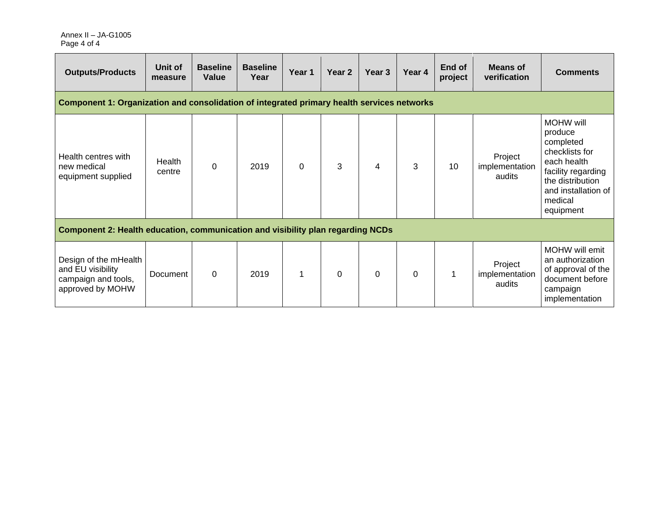| <b>Outputs/Products</b>                                                                    | Unit of<br>measure | <b>Baseline</b><br>Value | <b>Baseline</b><br>Year | Year 1   | Year 2   | Year 3 | Year 4 | End of<br>project | <b>Means of</b><br>verification     | <b>Comments</b>                                                                                                                                                    |
|--------------------------------------------------------------------------------------------|--------------------|--------------------------|-------------------------|----------|----------|--------|--------|-------------------|-------------------------------------|--------------------------------------------------------------------------------------------------------------------------------------------------------------------|
| Component 1: Organization and consolidation of integrated primary health services networks |                    |                          |                         |          |          |        |        |                   |                                     |                                                                                                                                                                    |
| Health centres with<br>new medical<br>equipment supplied                                   | Health<br>centre   | $\mathbf 0$              | 2019                    | $\Omega$ | 3        | 4      | 3      | 10                | Project<br>implementation<br>audits | <b>MOHW will</b><br>produce<br>completed<br>checklists for<br>each health<br>facility regarding<br>the distribution<br>and installation of<br>medical<br>equipment |
| Component 2: Health education, communication and visibility plan regarding NCDs            |                    |                          |                         |          |          |        |        |                   |                                     |                                                                                                                                                                    |
| Design of the mHealth<br>and EU visibility<br>campaign and tools,<br>approved by MOHW      | Document           | $\Omega$                 | 2019                    |          | $\Omega$ | 0      | 0      | 1                 | Project<br>implementation<br>audits | MOHW will emit<br>an authorization<br>of approval of the<br>document before<br>campaign<br>implementation                                                          |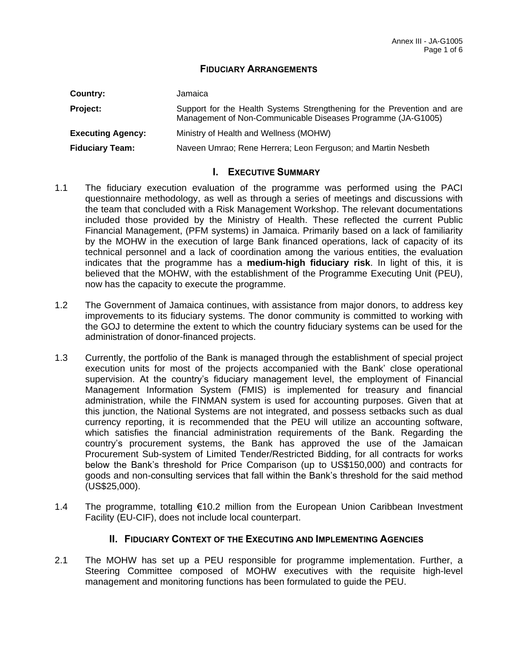#### **FIDUCIARY ARRANGEMENTS**

| Country:                 | Jamaica                                                                                                                                 |
|--------------------------|-----------------------------------------------------------------------------------------------------------------------------------------|
| Project:                 | Support for the Health Systems Strengthening for the Prevention and are<br>Management of Non-Communicable Diseases Programme (JA-G1005) |
| <b>Executing Agency:</b> | Ministry of Health and Wellness (MOHW)                                                                                                  |
| <b>Fiduciary Team:</b>   | Naveen Umrao; Rene Herrera; Leon Ferguson; and Martin Nesbeth                                                                           |

#### **I. EXECUTIVE SUMMARY**

- 1.1 The fiduciary execution evaluation of the programme was performed using the PACI questionnaire methodology, as well as through a series of meetings and discussions with the team that concluded with a Risk Management Workshop. The relevant documentations included those provided by the Ministry of Health. These reflected the current Public Financial Management, (PFM systems) in Jamaica. Primarily based on a lack of familiarity by the MOHW in the execution of large Bank financed operations, lack of capacity of its technical personnel and a lack of coordination among the various entities, the evaluation indicates that the programme has a **medium-high fiduciary risk**. In light of this, it is believed that the MOHW, with the establishment of the Programme Executing Unit (PEU), now has the capacity to execute the programme.
- 1.2 The Government of Jamaica continues, with assistance from major donors, to address key improvements to its fiduciary systems. The donor community is committed to working with the GOJ to determine the extent to which the country fiduciary systems can be used for the administration of donor-financed projects.
- 1.3 Currently, the portfolio of the Bank is managed through the establishment of special project execution units for most of the projects accompanied with the Bank' close operational supervision. At the country's fiduciary management level, the employment of Financial Management Information System (FMIS) is implemented for treasury and financial administration, while the FINMAN system is used for accounting purposes. Given that at this junction, the National Systems are not integrated, and possess setbacks such as dual currency reporting, it is recommended that the PEU will utilize an accounting software, which satisfies the financial administration requirements of the Bank. Regarding the country's procurement systems, the Bank has approved the use of the Jamaican Procurement Sub-system of Limited Tender/Restricted Bidding, for all contracts for works below the Bank's threshold for Price Comparison (up to US\$150,000) and contracts for goods and non-consulting services that fall within the Bank's threshold for the said method (US\$25,000).
- 1.4 The programme, totalling €10.2 million from the European Union Caribbean Investment Facility (EU-CIF), does not include local counterpart.

#### **II. FIDUCIARY CONTEXT OF THE EXECUTING AND IMPLEMENTING AGENCIES**

2.1 The MOHW has set up a PEU responsible for programme implementation. Further, a Steering Committee composed of MOHW executives with the requisite high-level management and monitoring functions has been formulated to guide the PEU.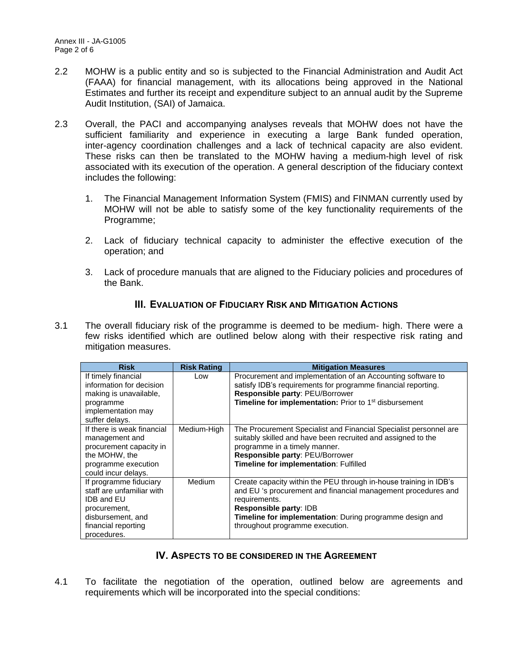- 2.2 MOHW is a public entity and so is subjected to the Financial Administration and Audit Act (FAAA) for financial management, with its allocations being approved in the National Estimates and further its receipt and expenditure subject to an annual audit by the Supreme Audit Institution, (SAI) of Jamaica.
- 2.3 Overall, the PACI and accompanying analyses reveals that MOHW does not have the sufficient familiarity and experience in executing a large Bank funded operation, inter-agency coordination challenges and a lack of technical capacity are also evident. These risks can then be translated to the MOHW having a medium-high level of risk associated with its execution of the operation. A general description of the fiduciary context includes the following:
	- 1. The Financial Management Information System (FMIS) and FINMAN currently used by MOHW will not be able to satisfy some of the key functionality requirements of the Programme;
	- 2. Lack of fiduciary technical capacity to administer the effective execution of the operation; and
	- 3. Lack of procedure manuals that are aligned to the Fiduciary policies and procedures of the Bank.

#### **III. EVALUATION OF FIDUCIARY RISK AND MITIGATION ACTIONS**

3.1 The overall fiduciary risk of the programme is deemed to be medium- high. There were a few risks identified which are outlined below along with their respective risk rating and mitigation measures.

| <b>Risk</b>                                                                                                                                         | <b>Risk Rating</b> | <b>Mitigation Measures</b>                                                                                                                                                                                                                                                          |
|-----------------------------------------------------------------------------------------------------------------------------------------------------|--------------------|-------------------------------------------------------------------------------------------------------------------------------------------------------------------------------------------------------------------------------------------------------------------------------------|
| If timely financial<br>information for decision<br>making is unavailable,<br>programme<br>implementation may<br>suffer delays.                      | Low                | Procurement and implementation of an Accounting software to<br>satisfy IDB's requirements for programme financial reporting.<br>Responsible party: PEU/Borrower<br><b>Timeline for implementation:</b> Prior to 1 <sup>st</sup> disbursement                                        |
| If there is weak financial<br>management and<br>procurement capacity in<br>the MOHW, the<br>programme execution<br>could incur delays.              | Medium-High        | The Procurement Specialist and Financial Specialist personnel are<br>suitably skilled and have been recruited and assigned to the<br>programme in a timely manner.<br>Responsible party: PEU/Borrower<br>Timeline for implementation: Fulfilled                                     |
| If programme fiduciary<br>staff are unfamiliar with<br><b>IDB and EU</b><br>procurement,<br>disbursement, and<br>financial reporting<br>procedures. | Medium             | Create capacity within the PEU through in-house training in IDB's<br>and EU 's procurement and financial management procedures and<br>requirements.<br>Responsible party: IDB<br><b>Timeline for implementation:</b> During programme design and<br>throughout programme execution. |

#### **IV. ASPECTS TO BE CONSIDERED IN THE AGREEMENT**

4.1 To facilitate the negotiation of the operation, outlined below are agreements and requirements which will be incorporated into the special conditions: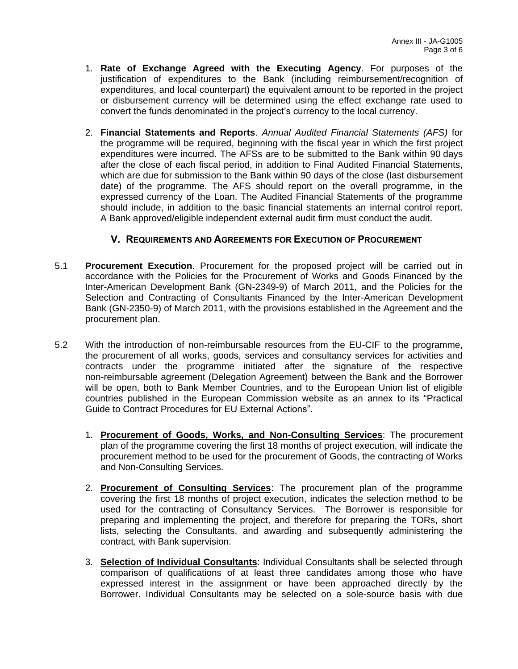- 1. **Rate of Exchange Agreed with the Executing Agency**. For purposes of the justification of expenditures to the Bank (including reimbursement/recognition of expenditures, and local counterpart) the equivalent amount to be reported in the project or disbursement currency will be determined using the effect exchange rate used to convert the funds denominated in the project's currency to the local currency.
- 2. **Financial Statements and Reports**. *Annual Audited Financial Statements (AFS)* for the programme will be required, beginning with the fiscal year in which the first project expenditures were incurred. The AFSs are to be submitted to the Bank within 90 days after the close of each fiscal period, in addition to Final Audited Financial Statements, which are due for submission to the Bank within 90 days of the close (last disbursement date) of the programme. The AFS should report on the overall programme, in the expressed currency of the Loan. The Audited Financial Statements of the programme should include, in addition to the basic financial statements an internal control report. A Bank approved/eligible independent external audit firm must conduct the audit.

#### **V. REQUIREMENTS AND AGREEMENTS FOR EXECUTION OF PROCUREMENT**

- 5.1 **Procurement Execution**. Procurement for the proposed project will be carried out in accordance with the Policies for the Procurement of Works and Goods Financed by the Inter-American Development Bank (GN-2349-9) of March 2011, and the Policies for the Selection and Contracting of Consultants Financed by the Inter-American Development Bank (GN-2350-9) of March 2011, with the provisions established in the Agreement and the procurement plan.
- 5.2 With the introduction of non-reimbursable resources from the EU-CIF to the programme, the procurement of all works, goods, services and consultancy services for activities and contracts under the programme initiated after the signature of the respective non-reimbursable agreement (Delegation Agreement) between the Bank and the Borrower will be open, both to Bank Member Countries, and to the European Union list of eligible countries published in the European Commission website as an annex to its "Practical Guide to Contract Procedures for EU External Actions".
	- 1. **Procurement of Goods, Works, and Non-Consulting Services**: The procurement plan of the programme covering the first 18 months of project execution, will indicate the procurement method to be used for the procurement of Goods, the contracting of Works and Non-Consulting Services.
	- 2. **Procurement of Consulting Services**: The procurement plan of the programme covering the first 18 months of project execution, indicates the selection method to be used for the contracting of Consultancy Services. The Borrower is responsible for preparing and implementing the project, and therefore for preparing the TORs, short lists, selecting the Consultants, and awarding and subsequently administering the contract, with Bank supervision.
	- 3. **Selection of Individual Consultants**: Individual Consultants shall be selected through comparison of qualifications of at least three candidates among those who have expressed interest in the assignment or have been approached directly by the Borrower. Individual Consultants may be selected on a sole-source basis with due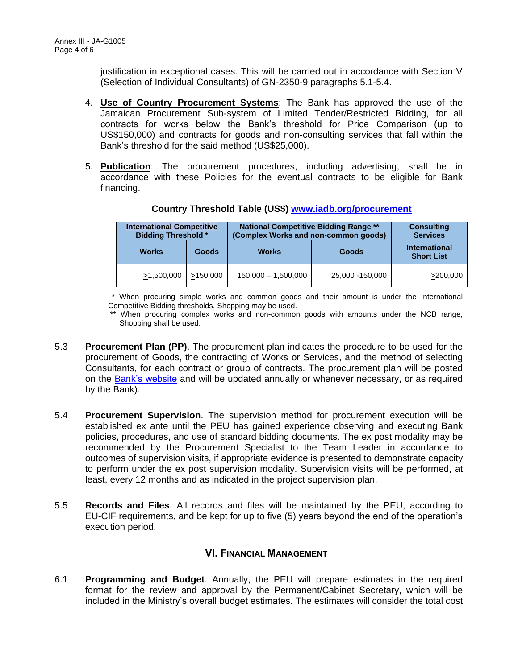justification in exceptional cases. This will be carried out in accordance with Section V (Selection of Individual Consultants) of GN-2350-9 paragraphs 5.1-5.4.

- 4. **Use of Country Procurement Systems**: The Bank has approved the use of the Jamaican Procurement Sub-system of Limited Tender/Restricted Bidding, for all contracts for works below the Bank's threshold for Price Comparison (up to US\$150,000) and contracts for goods and non-consulting services that fall within the Bank's threshold for the said method (US\$25,000).
- 5. **Publication**: The procurement procedures, including advertising, shall be in accordance with these Policies for the eventual contracts to be eligible for Bank financing.

| <b>International Competitive</b><br><b>Bidding Threshold *</b> |          | <b>National Competitive Bidding Range **</b><br>(Complex Works and non-common goods) | <b>Consulting</b><br><b>Services</b> |                                           |
|----------------------------------------------------------------|----------|--------------------------------------------------------------------------------------|--------------------------------------|-------------------------------------------|
| <b>Works</b>                                                   | Goods    | <b>Works</b>                                                                         | Goods                                | <b>International</b><br><b>Short List</b> |
| >1,500,000                                                     | >150,000 | $150,000 - 1,500,000$                                                                | 25,000 -150,000                      | >200,000                                  |

#### **Country Threshold Table (US\$) [www.iadb.org/procurement](http://www.iadb.org/procurement)**

\* When procuring simple works and common goods and their amount is under the International Competitive Bidding thresholds, Shopping may be used.

\*\* When procuring complex works and non-common goods with amounts under the NCB range, Shopping shall be used.

- 5.3 **Procurement Plan (PP)**. The procurement plan indicates the procedure to be used for the procurement of Goods, the contracting of Works or Services, and the method of selecting Consultants, for each contract or group of contracts. The procurement plan will be posted on the [Bank's website](http://www.iadb.org/en/projects/procurement--plans,8180.html?keyword=&projectCountry=JA&ProjectNumber=&dateFrom_plan=&dateTo_plan) and will be updated annually or whenever necessary, or as required by the Bank).
- 5.4 **Procurement Supervision**. The supervision method for procurement execution will be established ex ante until the PEU has gained experience observing and executing Bank policies, procedures, and use of standard bidding documents. The ex post modality may be recommended by the Procurement Specialist to the Team Leader in accordance to outcomes of supervision visits, if appropriate evidence is presented to demonstrate capacity to perform under the ex post supervision modality. Supervision visits will be performed, at least, every 12 months and as indicated in the project supervision plan.
- 5.5 **Records and Files**. All records and files will be maintained by the PEU, according to EU-CIF requirements, and be kept for up to five (5) years beyond the end of the operation's execution period.

### **VI. FINANCIAL MANAGEMENT**

6.1 **Programming and Budget**. Annually, the PEU will prepare estimates in the required format for the review and approval by the Permanent/Cabinet Secretary, which will be included in the Ministry's overall budget estimates. The estimates will consider the total cost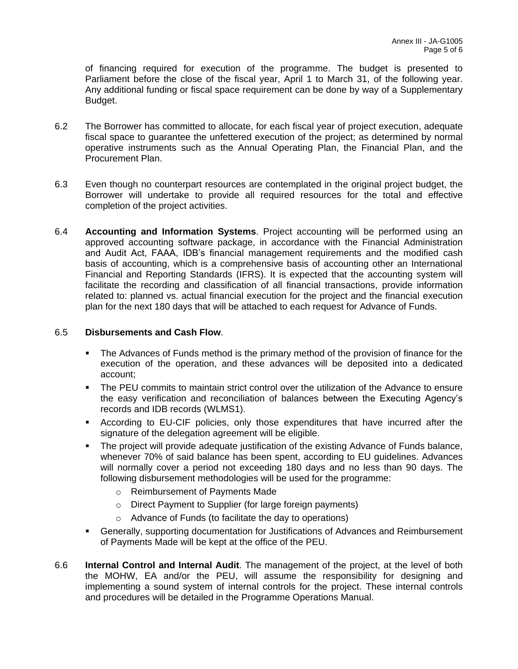of financing required for execution of the programme. The budget is presented to Parliament before the close of the fiscal year, April 1 to March 31, of the following year. Any additional funding or fiscal space requirement can be done by way of a Supplementary Budget.

- 6.2 The Borrower has committed to allocate, for each fiscal year of project execution, adequate fiscal space to guarantee the unfettered execution of the project; as determined by normal operative instruments such as the Annual Operating Plan, the Financial Plan, and the Procurement Plan.
- 6.3 Even though no counterpart resources are contemplated in the original project budget, the Borrower will undertake to provide all required resources for the total and effective completion of the project activities.
- 6.4 **Accounting and Information Systems**. Project accounting will be performed using an approved accounting software package, in accordance with the Financial Administration and Audit Act, FAAA, IDB's financial management requirements and the modified cash basis of accounting, which is a comprehensive basis of accounting other an International Financial and Reporting Standards (IFRS). It is expected that the accounting system will facilitate the recording and classification of all financial transactions, provide information related to: planned vs. actual financial execution for the project and the financial execution plan for the next 180 days that will be attached to each request for Advance of Funds.

#### 6.5 **Disbursements and Cash Flow**.

- **•** The Advances of Funds method is the primary method of the provision of finance for the execution of the operation, and these advances will be deposited into a dedicated account;
- **•** The PEU commits to maintain strict control over the utilization of the Advance to ensure the easy verification and reconciliation of balances between the Executing Agency's records and IDB records (WLMS1).
- According to EU-CIF policies, only those expenditures that have incurred after the signature of the delegation agreement will be eligible.
- The project will provide adequate justification of the existing Advance of Funds balance, whenever 70% of said balance has been spent, according to EU guidelines. Advances will normally cover a period not exceeding 180 days and no less than 90 days. The following disbursement methodologies will be used for the programme:
	- o Reimbursement of Payments Made
	- o Direct Payment to Supplier (for large foreign payments)
	- o Advance of Funds (to facilitate the day to operations)
- Generally, supporting documentation for Justifications of Advances and Reimbursement of Payments Made will be kept at the office of the PEU.
- 6.6 **Internal Control and Internal Audit**. The management of the project, at the level of both the MOHW, EA and/or the PEU, will assume the responsibility for designing and implementing a sound system of internal controls for the project. These internal controls and procedures will be detailed in the Programme Operations Manual.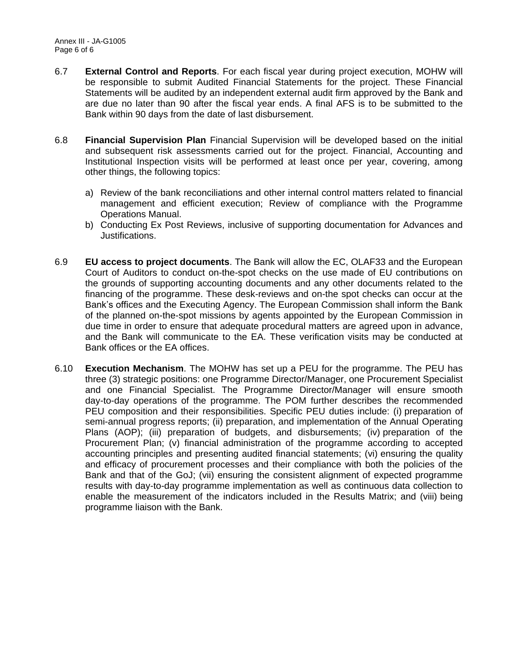- 6.7 **External Control and Reports**. For each fiscal year during project execution, MOHW will be responsible to submit Audited Financial Statements for the project. These Financial Statements will be audited by an independent external audit firm approved by the Bank and are due no later than 90 after the fiscal year ends. A final AFS is to be submitted to the Bank within 90 days from the date of last disbursement.
- 6.8 **Financial Supervision Plan** Financial Supervision will be developed based on the initial and subsequent risk assessments carried out for the project. Financial, Accounting and Institutional Inspection visits will be performed at least once per year, covering, among other things, the following topics:
	- a) Review of the bank reconciliations and other internal control matters related to financial management and efficient execution; Review of compliance with the Programme Operations Manual.
	- b) Conducting Ex Post Reviews, inclusive of supporting documentation for Advances and Justifications.
- 6.9 **EU access to project documents**. The Bank will allow the EC, OLAF33 and the European Court of Auditors to conduct on-the-spot checks on the use made of EU contributions on the grounds of supporting accounting documents and any other documents related to the financing of the programme. These desk-reviews and on-the spot checks can occur at the Bank's offices and the Executing Agency. The European Commission shall inform the Bank of the planned on-the-spot missions by agents appointed by the European Commission in due time in order to ensure that adequate procedural matters are agreed upon in advance, and the Bank will communicate to the EA. These verification visits may be conducted at Bank offices or the EA offices.
- 6.10 **Execution Mechanism**. The MOHW has set up a PEU for the programme. The PEU has three (3) strategic positions: one Programme Director/Manager, one Procurement Specialist and one Financial Specialist. The Programme Director/Manager will ensure smooth day-to-day operations of the programme. The POM further describes the recommended PEU composition and their responsibilities. Specific PEU duties include: (i) preparation of semi-annual progress reports; (ii) preparation, and implementation of the Annual Operating Plans (AOP); (iii) preparation of budgets, and disbursements; (iv) preparation of the Procurement Plan; (v) financial administration of the programme according to accepted accounting principles and presenting audited financial statements; (vi) ensuring the quality and efficacy of procurement processes and their compliance with both the policies of the Bank and that of the GoJ; (vii) ensuring the consistent alignment of expected programme results with day-to-day programme implementation as well as continuous data collection to enable the measurement of the indicators included in the Results Matrix; and (viii) being programme liaison with the Bank.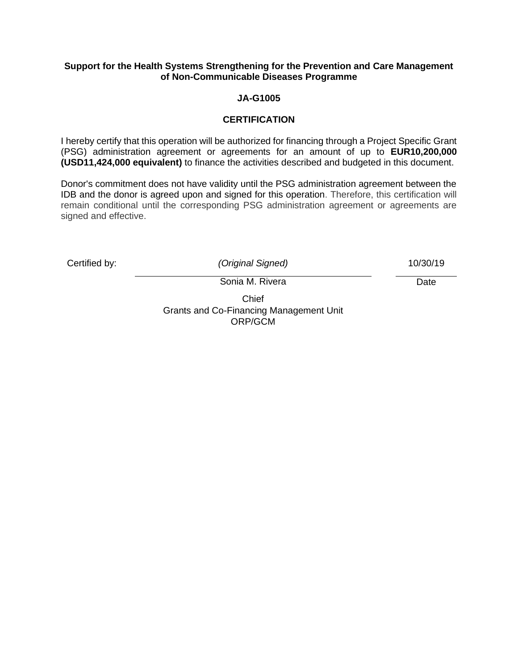#### **Support for the Health Systems Strengthening for the Prevention and Care Management of Non-Communicable Diseases Programme**

#### **JA-G1005**

#### **CERTIFICATION**

I hereby certify that this operation will be authorized for financing through a Project Specific Grant (PSG) administration agreement or agreements for an amount of up to **EUR10,200,000 (USD11,424,000 equivalent)** to finance the activities described and budgeted in this document.

Donor's commitment does not have validity until the PSG administration agreement between the IDB and the donor is agreed upon and signed for this operation. Therefore, this certification will remain conditional until the corresponding PSG administration agreement or agreements are signed and effective.

Certified by: *(Original Signed)* 10/30/19

Sonia M. Rivera

Chief Grants and Co-Financing Management Unit ORP/GCM

Date